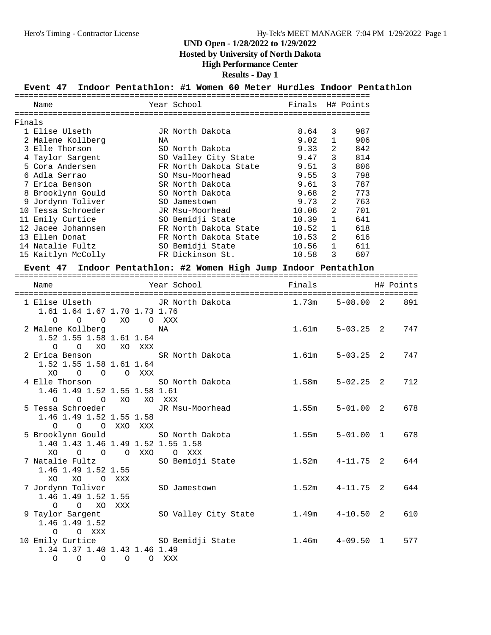**Hosted by University of North Dakota**

### **High Performance Center**

### **Results - Day 1**

### **Event 47 Indoor Pentathlon: #1 Women 60 Meter Hurdles Indoor Pentathlon**

|        | Name               |    | Year School           | Finals H# Points |                |     |
|--------|--------------------|----|-----------------------|------------------|----------------|-----|
|        |                    |    |                       |                  |                |     |
| Finals |                    |    |                       |                  |                |     |
|        | 1 Elise Ulseth     |    | JR North Dakota       | 8.64             | 3              | 987 |
|        | 2 Malene Kollberg  | ΝA |                       | 9.02             |                | 906 |
|        | 3 Elle Thorson     |    | SO North Dakota       | 9.33             | 2              | 842 |
|        | 4 Taylor Sargent   |    | SO Valley City State  | 9.47             | 3              | 814 |
|        | 5 Cora Andersen    |    | FR North Dakota State | 9.51             | 3              | 806 |
|        | 6 Adla Serrao      |    | SO Msu-Moorhead       | 9.55             | 3              | 798 |
|        | 7 Erica Benson     |    | SR North Dakota       | 9.61             | 3              | 787 |
| 8      | Brooklynn Gould    |    | SO North Dakota       | 9.68             | 2              | 773 |
|        | 9 Jordynn Toliver  |    | SO Jamestown          | 9.73             | 2              | 763 |
| 1 N    | Tessa Schroeder    |    | JR Msu-Moorhead       | 10.06            | $\mathfrak{D}$ | 701 |
|        | 11 Emily Curtice   |    | SO Bemidji State      | 10.39            |                | 641 |
|        | 12 Jacee Johannsen |    | FR North Dakota State | 10.52            | $\mathbf{1}$   | 618 |
|        | 13 Ellen Donat     |    | FR North Dakota State | 10.53            | $\mathfrak{D}$ | 616 |
|        | 14 Natalie Fultz   |    | SO Bemidji State      | 10.56            | $\mathbf{1}$   | 611 |
|        | 15 Kaitlyn McColly |    | FR Dickinson St.      | 10.58            | 3              | 607 |

### **Event 47 Indoor Pentathlon: #2 Women High Jump Indoor Pentathlon**

| Name                                                                               |           | ===============================<br>Year School | Finals |                     | H# Points |
|------------------------------------------------------------------------------------|-----------|------------------------------------------------|--------|---------------------|-----------|
| 1 Elise Ulseth<br>1.61 1.64 1.67 1.70 1.73 1.76<br>$\Omega$<br>$\circ$<br>$\circ$  | XO        | JR North Dakota<br>O XXX                       | 1.73m  | $5 - 08.002$        | 891       |
| 2 Malene Kollberg<br>1.52 1.55 1.58 1.61 1.64<br>O O XO XO XXX                     |           | ΝA                                             |        | $1.61m$ $5-03.25$ 2 | 747       |
| 2 Erica Benson<br>1.52 1.55 1.58 1.61 1.64<br>XO O O XXX                           |           | SR North Dakota                                | 1.61m  | $5 - 03.25$ 2       | 747       |
| 4 Elle Thorson SO North Dakota<br>1.46 1.49 1.52 1.55 1.58 1.61<br>0 0 0 XO XO XXX |           |                                                | 1.58m  | $5 - 02.25$ 2       | 712       |
| 5 Tessa Schroeder<br>1.46 1.49 1.52 1.55 1.58<br>$\circ$                           | O OXXOXXX | JR Msu-Moorhead                                | 1.55m  | $5 - 01.00$ 2       | 678       |
| 1.40 1.43 1.46 1.49 1.52 1.55 1.58<br>XO<br>$\Omega$<br>$\overline{O}$             | O XXO     | 5 Brooklynn Gould SO North Dakota<br>O XXX     | 1.55m  | $5 - 01.00$ 1       | 678       |
| 7 Natalie Fultz<br>1.46 1.49 1.52 1.55<br>XO<br>XO OXXX                            |           | SO Bemidji State                               |        | $1.52m$ $4-11.75$ 2 | 644       |
| 7 Jordynn Toliver<br>1.46 1.49 1.52 1.55<br>O O XO XXX                             |           | SO Jamestown                                   |        | $1.52m$ $4-11.75$ 2 | 644       |
| 9 Taylor Sargent<br>1.46 1.49 1.52<br>$O$ $O$ $XXX$                                |           | SO Valley City State                           |        | $1.49m$ $4-10.50$ 2 | 610       |
| 1.34 1.37 1.40 1.43 1.46 1.49<br>$\Omega$<br>$\circ$<br>$\circ$                    | $\circ$   | 10 Emily Curtice 50 Bemidji State<br>O XXX     |        | $1.46m$ $4-09.50$ 1 | 577       |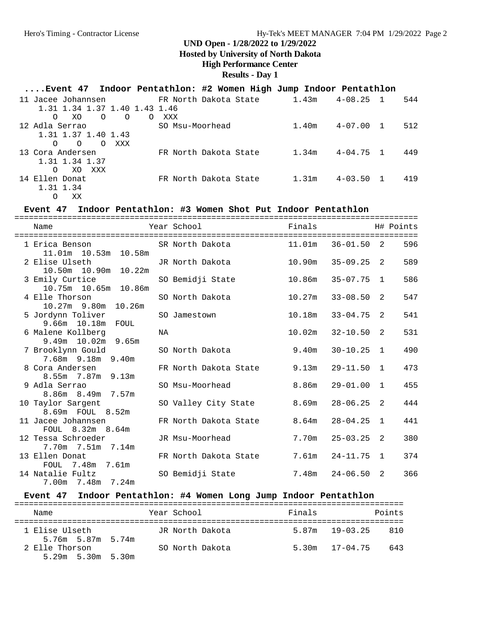#### **Hosted by University of North Dakota**

#### **High Performance Center**

### **Results - Day 1**

## **....Event 47 Indoor Pentathlon: #2 Women High Jump Indoor Pentathlon**

| 11 Jacee Johannsen                                  | FR North Dakota State | 1.43m | $4 - 08.25$ |                | 544 |
|-----------------------------------------------------|-----------------------|-------|-------------|----------------|-----|
| 1.31 1.34 1.37 1.40 1.43 1.46                       |                       |       |             |                |     |
| $\Omega$<br>$\Omega$<br>XO.<br>$\Omega$<br>$\Omega$ | XXX                   |       |             |                |     |
| 12 Adla Serrao                                      | SO Msu-Moorhead       | 1.40m | $4 - 07.00$ | $\overline{1}$ | 512 |
| 1.31 1.37 1.40 1.43                                 |                       |       |             |                |     |
| $\Omega$<br>$\Omega$<br>XXX<br>$\Omega$             |                       |       |             |                |     |
| 13 Cora Andersen                                    | FR North Dakota State | 1.34m | $4 - 04.75$ | $\mathbf{1}$   | 449 |
| 1.31 1.34 1.37                                      |                       |       |             |                |     |
| XXX<br>XO<br>$\Omega$                               |                       |       |             |                |     |
| 14 Ellen Donat                                      | FR North Dakota State | 1.31m | $4 - 03.50$ | $\mathbf{1}$   | 419 |
| 1.31 1.34                                           |                       |       |             |                |     |
| XX<br>O                                             |                       |       |             |                |     |

#### **Event 47 Indoor Pentathlon: #3 Women Shot Put Indoor Pentathlon**

| Name                                      |    | Year School            | Finals |                |                | H# Points |
|-------------------------------------------|----|------------------------|--------|----------------|----------------|-----------|
| 1 Erica Benson<br>11.01m  10.53m  10.58m  |    | SR North Dakota 11.01m |        | $36 - 01.50$ 2 |                | 596       |
| 2 Elise Ulseth<br>10.50m  10.90m  10.22m  |    | JR North Dakota        | 10.90m | $35 - 09.25$ 2 |                | 589       |
| 3 Emily Curtice<br>10.75m  10.65m  10.86m |    | SO Bemidji State       | 10.86m | $35 - 07.75$   | $\overline{1}$ | 586       |
| 4 Elle Thorson<br>10.27m 9.80m 10.26m     |    | SO North Dakota        | 10.27m | $33 - 08.50$   | 2              | 547       |
| 5 Jordynn Toliver<br>9.66m 10.18m<br>FOUL |    | SO Jamestown           | 10.18m | $33 - 04.75$   | -2             | 541       |
| 6 Malene Kollberg<br>$9.49m$ 10.02m 9.65m | NA |                        | 10.02m | $32 - 10.50$   | 2              | 531       |
| 7 Brooklynn Gould<br>7.68m 9.18m 9.40m    |    | SO North Dakota        | 9.40m  | $30 - 10.25$   | 1              | 490       |
| 8 Cora Andersen<br>8.55m 7.87m 9.13m      |    | FR North Dakota State  | 9.13m  | $29 - 11.50$   | $\mathbf{1}$   | 473       |
| 9 Adla Serrao<br>8.86m 8.49m 7.57m        |    | SO Msu-Moorhead        | 8.86m  | $29 - 01.00$   | $\mathbf{1}$   | 455       |
| 10 Taylor Sargent<br>8.69m FOUL 8.52m     |    | SO Valley City State   | 8.69m  | $28 - 06.25$   | 2              | 444       |
| 11 Jacee Johannsen<br>FOUL 8.32m 8.64m    |    | FR North Dakota State  | 8.64m  | $28 - 04.25$   | 1              | 441       |
| 12 Tessa Schroeder<br>7.70m 7.51m 7.14m   |    | JR Msu-Moorhead        | 7.70m  | $25 - 03.25$   | 2              | 380       |
| 13 Ellen Donat<br>FOUL 7.48m 7.61m        |    | FR North Dakota State  | 7.61m  | 24-11.75       | $\mathbf{1}$   | 374       |
| 14 Natalie Fultz<br>7.00m 7.48m 7.24m     |    | SO Bemidji State       | 7.48m  | 24-06.50       | 2              | 366       |

### **Event 47 Indoor Pentathlon: #4 Women Long Jump Indoor Pentathlon**

| Name                                      | Year School     | Finals |                    | Points |
|-------------------------------------------|-----------------|--------|--------------------|--------|
| 1 Elise Ulseth<br>5.76m 5.87m 5.74m       | JR North Dakota |        | $5.87m$ $19-03.25$ | 810    |
| 2 Elle Thorson<br>$5.29m$ $5.30m$ $5.30m$ | SO North Dakota |        | $5.30m$ $17-04.75$ | 643    |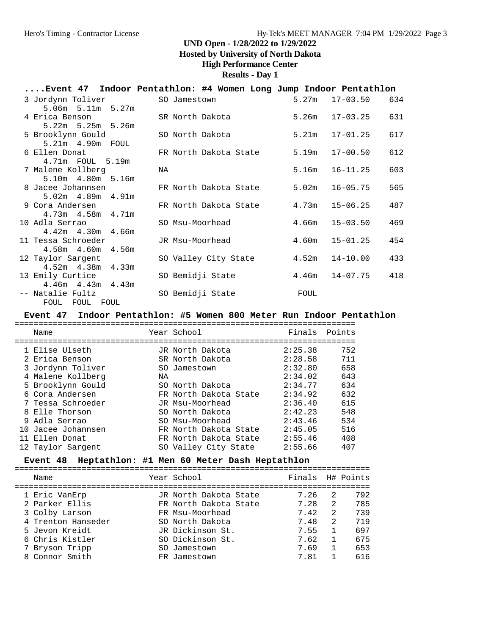**Hosted by University of North Dakota**

**High Performance Center**

**Results - Day 1**

| Event 47 Indoor Pentathlon: #4 Women Long Jump Indoor Pentathlon |                  |                       |       |              |     |
|------------------------------------------------------------------|------------------|-----------------------|-------|--------------|-----|
| 3 Jordynn Toliver                                                | SO Jamestown     |                       | 5.27m | $17 - 03.50$ | 634 |
| $5.06m$ $5.11m$ $5.27m$                                          |                  |                       |       |              |     |
| 4 Erica Benson                                                   | SR North Dakota  |                       | 5.26m | 17-03.25     | 631 |
| $5.22m$ $5.25m$ $5.26m$                                          |                  |                       |       |              |     |
| 5 Brooklynn Gould                                                | SO North Dakota  |                       | 5.21m | $17 - 01.25$ | 617 |
| 5.21m 4.90m FOUL                                                 |                  |                       |       |              |     |
| 6 Ellen Donat                                                    |                  | FR North Dakota State | 5.19m | $17 - 00.50$ | 612 |
| 4.71m FOUL 5.19m                                                 |                  |                       |       |              |     |
| 7 Malene Kollberg                                                | NA               |                       | 5.16m | $16 - 11.25$ | 603 |
| 5.10m  4.80m  5.16m                                              |                  |                       |       |              |     |
| 8 Jacee Johannsen                                                |                  | FR North Dakota State | 5.02m | $16 - 05.75$ | 565 |
| $5.02m$ 4.89 $m$ 4.91 $m$                                        |                  |                       |       |              |     |
| 9 Cora Andersen                                                  |                  | FR North Dakota State | 4.73m | $15 - 06.25$ | 487 |
| $4.73m$ $4.58m$ $4.71m$                                          |                  |                       |       |              |     |
| 10 Adla Serrao                                                   | SO Msu-Moorhead  |                       | 4.66m | $15 - 03.50$ | 469 |
| $4.42m$ $4.30m$ $4.66m$                                          |                  |                       |       |              |     |
| 11 Tessa Schroeder                                               | JR Msu-Moorhead  |                       | 4.60m | $15 - 01.25$ | 454 |
| 4.58m  4.60m  4.56m                                              |                  |                       |       |              |     |
| 12 Taylor Sargent                                                |                  | SO Valley City State  | 4.52m | $14 - 10.00$ | 433 |
| $4.52m$ $4.38m$ $4.33m$                                          |                  |                       |       |              |     |
| 13 Emily Curtice                                                 | SO Bemidji State |                       | 4.46m | $14 - 07.75$ | 418 |
| $4.46m$ $4.43m$ $4.43m$                                          |                  |                       |       |              |     |
| -- Natalie Fultz                                                 | SO Bemidji State |                       | FOUL  |              |     |
| FOUL FOUL FOUL                                                   |                  |                       |       |              |     |

#### **Event 47 Indoor Pentathlon: #5 Women 800 Meter Run Indoor Pentathlon**

| Name               |    | Year School           | Finals  | Points |
|--------------------|----|-----------------------|---------|--------|
|                    |    |                       |         |        |
| 1 Elise Ulseth     |    | JR North Dakota       | 2:25.38 | 752    |
| 2 Erica Benson     |    | SR North Dakota       | 2:28.58 | 711    |
| 3 Jordynn Toliver  |    | SO Jamestown          | 2:32.80 | 658    |
| 4 Malene Kollberg  | ΝA |                       | 2:34.02 | 643    |
| 5 Brooklynn Gould  |    | SO North Dakota       | 2:34.77 | 634    |
| 6 Cora Andersen    |    | FR North Dakota State | 2:34.92 | 632    |
| 7 Tessa Schroeder  |    | JR Msu-Moorhead       | 2:36.40 | 615    |
| 8 Elle Thorson     |    | SO North Dakota       | 2:42.23 | 548    |
| 9 Adla Serrao      |    | SO Msu-Moorhead       | 2:43.46 | 534    |
| 10 Jacee Johannsen |    | FR North Dakota State | 2:45.05 | 516    |
| 11 Ellen Donat     |    | FR North Dakota State | 2:55.46 | 408    |
| 12 Taylor Sargent  |    | SO Valley City State  | 2:55.66 | 407    |

**Event 48 Heptathlon: #1 Men 60 Meter Dash Heptathlon** ========================================================================== Year School **Finals** H# Points ========================================================================== 1 Eric VanErp JR North Dakota State 7.26 2 792 2 Parker Ellis FR North Dakota State 7.28 2 785 3 Colby Larson FR Msu-Moorhead 7.42 2 739 4 Trenton Hanseder SO North Dakota 7.48 2 719 5 Jevon Kreidt JR Dickinson St. 7.55 1 697

 6 Chris Kistler SO Dickinson St. 7.62 1 675 7 Bryson Tripp SO Jamestown 7.69 1 653 8 Connor Smith FR Jamestown 7.81 1 616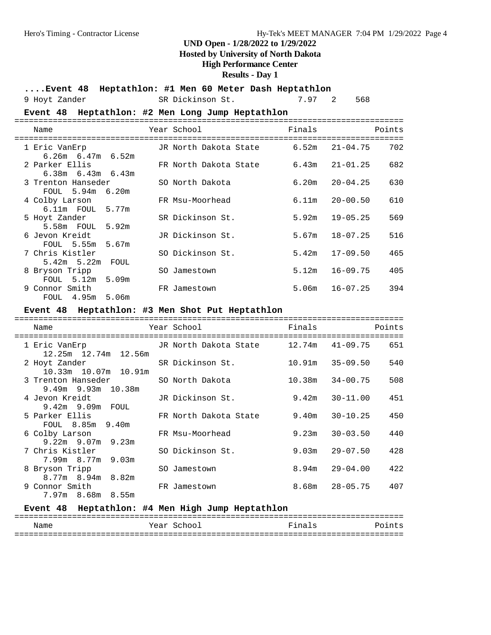### **Hosted by University of North Dakota**

### **High Performance Center**

### **Results - Day 1**

| Event 48 Heptathlon: #1 Men 60 Meter Dash Heptathlon |  |  |  |  |  |  |  |
|------------------------------------------------------|--|--|--|--|--|--|--|
|------------------------------------------------------|--|--|--|--|--|--|--|

|  |  | 9 Hoyt Zander |  |
|--|--|---------------|--|
|--|--|---------------|--|

SR Dickinson St. 7.97 2 568

|                                            | Event 48 Heptathlon: #2 Men Long Jump Heptathlon |        |                     |
|--------------------------------------------|--------------------------------------------------|--------|---------------------|
| Name<br>----------------------             | Year School                                      | Finals | Points              |
| 1 Eric VanErp<br>$6.26m$ $6.47m$ $6.52m$   | JR North Dakota State                            | 6.52m  | $21 - 04.75$<br>702 |
| 2 Parker Ellis<br>$6.38m$ $6.43m$ $6.43m$  | FR North Dakota State                            | 6.43m  | $21 - 01.25$<br>682 |
| 3 Trenton Hanseder<br>FOUL 5.94m 6.20m     | SO North Dakota                                  | 6.20m  | $20 - 04.25$<br>630 |
| 4 Colby Larson<br>6.11m FOUL 5.77m         | FR Msu-Moorhead                                  | 6.11m  | $20 - 00.50$<br>610 |
| 5 Hoyt Zander<br>5.58m FOUL 5.92m          | SR Dickinson St.                                 | 5.92m  | $19 - 05.25$<br>569 |
| 6 Jevon Kreidt<br>FOUL 5.55m<br>5.67m      | JR Dickinson St.                                 | 5.67m  | $18 - 07.25$<br>516 |
| 7 Chris Kistler<br>$5.42m$ $5.22m$<br>FOUL | SO Dickinson St.                                 | 5.42m  | $17 - 09.50$<br>465 |
| 8 Bryson Tripp<br>FOUL 5.12m 5.09m         | SO Jamestown                                     | 5.12m  | $16 - 09.75$<br>405 |
| 9 Connor Smith<br>FOUL 4.95m 5.06m         | FR Jamestown                                     | 5.06m  | $16 - 07.25$<br>394 |
|                                            | Event 48 Heptathlon: #3 Men Shot Put Heptathlon  |        |                     |

| Name                                       | Year School Theory    | Finals |              | Points |
|--------------------------------------------|-----------------------|--------|--------------|--------|
|                                            |                       |        |              |        |
| 1 Eric VanErp                              | JR North Dakota State | 12.74m | 41-09.75     | 651    |
| 12.25m 12.74m 12.56m<br>2 Hoyt Zander      | SR Dickinson St.      | 10.91m | 35-09.50     | 540    |
| 10.33m 10.07m 10.91m<br>3 Trenton Hanseder | SO North Dakota       | 10.38m | 34-00.75     | 508    |
| $9.49m$ $9.93m$ $10.38m$<br>4 Jevon Kreidt | JR Dickinson St.      | 9.42m  | 30-11.00     | 451    |
| $9.42m$ $9.09m$ FOUL<br>5 Parker Ellis     | FR North Dakota State | 9.40m  | $30 - 10.25$ | 450    |
| FOUL 8.85m 9.40m<br>6 Colby Larson         | FR Msu-Moorhead       | 9.23m  | $30 - 03.50$ | 440    |
| $9.22m$ $9.07m$ $9.23m$<br>7 Chris Kistler | SO Dickinson St.      | 9.03m  | $29 - 07.50$ | 428    |
| $7.99m$ 8.77m 9.03m                        |                       |        |              |        |
| 8 Bryson Tripp<br>8.77m 8.94m 8.82m        | SO Jamestown          | 8.94m  | 29-04.00     | 422    |
| 9 Connor Smith<br>7.97m 8.68m 8.55m        | FR Jamestown          | 8.68m  | 28-05.75     | 407    |

## **Event 48 Heptathlon: #4 Men High Jump Heptathlon** =================================================================================

|      |                       |     | ______ |
|------|-----------------------|-----|--------|
| Name | $V \cap T$<br>- - - - | ~~~ | .      |
| ___  |                       |     |        |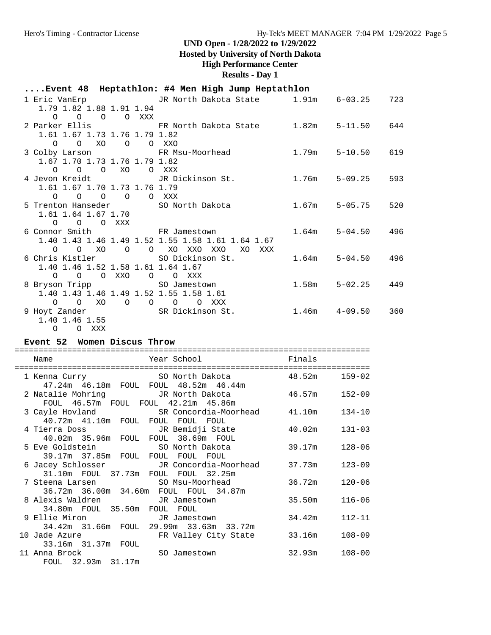### **Hosted by University of North Dakota**

### **High Performance Center**

**Results - Day 1**

|                                                                   | Event 48 Heptathlon: #4 Men High Jump Heptathlon                      |       |                         |     |
|-------------------------------------------------------------------|-----------------------------------------------------------------------|-------|-------------------------|-----|
| 1.79 1.82 1.88 1.91 1.94                                          | 1 Eric VanErp           JR North Dakota State       1.91m     6-03.25 |       |                         | 723 |
| $O$ $O$ $O$ $O$ $XXX$                                             |                                                                       |       |                         |     |
| 1.61 1.67 1.73 1.76 1.79 1.82                                     | 2 Parker Ellis 644 FR North Dakota State 1.82m 5-11.50 644            |       |                         |     |
| $0$ $0$ $X0$ $0$ $0$ $XX0$                                        |                                                                       |       |                         |     |
| 3 Colby Larson<br>1.67 1.70 1.73 1.76 1.79 1.82<br>0 0 0 XO O XXX | FR Msu-Moorhead                                                       |       | 1.79m 5-10.50 619       |     |
| 4 Jevon Kreidt               JR Dickinson St.                     |                                                                       |       | $1.76m$ 5-09.25         | 593 |
| 1.61 1.67 1.70 1.73 1.76 1.79<br>$0$ 0 0 0 0 XXX                  |                                                                       |       |                         |     |
| 5 Trenton Hanseder 50 North Dakota<br>1.61 1.64 1.67 1.70         |                                                                       |       | $1.67m$ 5-05.75         | 520 |
| $O$ $O$ $O$ $XXX$                                                 |                                                                       |       |                         |     |
| 6 Connor Smith FR Jamestown                                       | 1.40 1.43 1.46 1.49 1.52 1.55 1.58 1.61 1.64 1.67                     |       | $1.64m$ $5-04.50$ $496$ |     |
| $O$ $O$ $XO$<br>$\overline{O}$                                    | O XO XXO<br>XO<br>XXO<br>XXX                                          |       |                         |     |
| 6 Chris Kistler                                                   | SO Dickinson St.                                                      |       | $1.64m$ $5-04.50$ $496$ |     |
| 1.40 1.46 1.52 1.58 1.61 1.64 1.67                                |                                                                       |       |                         |     |
| O XXO<br>$\Omega$ $\Omega$                                        | O OXXX                                                                | 1.58m | $5 - 02.25$ 449         |     |
| 8 Bryson Tripp<br>1.40 1.43 1.46 1.49 1.52 1.55 1.58 1.61         | SO Jamestown                                                          |       |                         |     |
| XO<br>$\circ$ $\circ$<br>$\circ$                                  | O O O XXX                                                             |       |                         |     |
| 9 Hoyt Zander                                                     | SR Dickinson St.                                                      |       | $1.46m$ $4-09.50$       | 360 |
| 1.40 1.46 1.55                                                    |                                                                       |       |                         |     |
| $O$ $O$ $XXX$                                                     |                                                                       |       |                         |     |

#### **Event 52 Women Discus Throw**

| ==============                                                |                                                                                                    |                   |            |
|---------------------------------------------------------------|----------------------------------------------------------------------------------------------------|-------------------|------------|
| Name<br>============================                          | Year School and School<br>=======================                                                  | Finals            |            |
| 1 Kenna Curry                                                 | SO North Dakota 48.52m<br>47.24m  46.18m  FOUL  FOUL  48.52m  46.44m                               |                   | $159 - 02$ |
| FOUL 46.57m FOUL FOUL 42.21m 45.86m                           | 2 Natalie Mohring             JR North Dakota                                                      | 46.57m 152-09     |            |
| 40.72m 41.10m FOUL FOUL FOUL FOUL                             | 3 Cayle Hovland SR Concordia-Moorhead 41.10m 134-10                                                |                   |            |
| 4 Tierra Doss<br>40.02m 35.96m FOUL FOUL 38.69m FOUL          | JR Bemidji State                                                                                   | 40.02m            | $131 - 03$ |
| 39.17m 37.85m FOUL FOUL FOUL FOUL                             |                                                                                                    | 39.17m            | $128 - 06$ |
| 31.10m FOUL 37.73m FOUL FOUL 32.25m                           | 6 Jacey Schlosser           JR Concordia-Moorhead       37.73m                                     |                   | $123 - 09$ |
|                                                               | 7 Steena Larsen                           SO Msu-Moorhead<br>36.72m 36.00m 34.60m FOUL FOUL 34.87m | 36.72m            | $120 - 06$ |
| 8 Alexis Waldren TR Jamestown<br>34.80m FOUL 35.50m FOUL FOUL |                                                                                                    | 35.50m            | $116 - 06$ |
| 9 Ellie Miron                                                 | JR Jamestown<br>34.42m 31.66m FOUL 29.99m 33.63m 33.72m                                            | 34.42m            | $112 - 11$ |
| 10 Jade Azure TR Valley City State<br>33.16m 31.37m FOUL      |                                                                                                    | 33.16m            | $108 - 09$ |
| 11 Anna Brock<br>FOUL 32.93m 31.17m                           | SO Jamestown                                                                                       | $32.93m$ $108-00$ |            |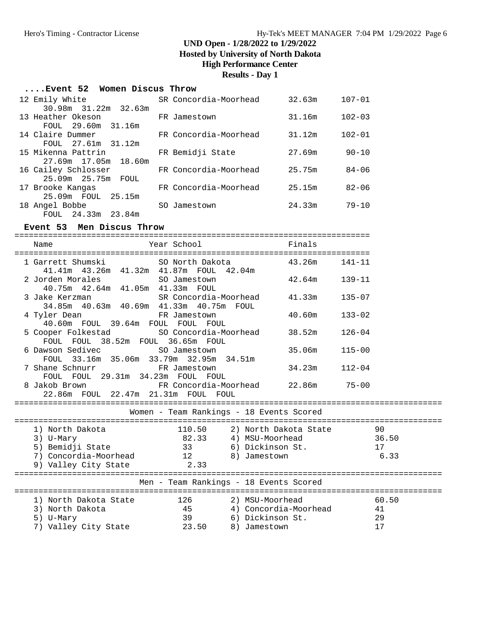**Hosted by University of North Dakota**

### **High Performance Center**

### **Results - Day 1**

| Event 52 Women Discus Throw |                       |        |            |
|-----------------------------|-----------------------|--------|------------|
| 12 Emily White              | SR Concordia-Moorhead | 32.63m | $107 - 01$ |
| 30.98m 31.22m 32.63m        |                       |        |            |
| 13 Heather Okeson           | FR Jamestown          | 31.16m | $102 - 03$ |
| FOUL 29.60m 31.16m          |                       |        |            |
| 14 Claire Dummer            | FR Concordia-Moorhead | 31.12m | $102 - 01$ |
| FOUL 27.61m 31.12m          |                       |        |            |
| 15 Mikenna Pattrin          | FR Bemidji State      | 27.69m | $90 - 10$  |
| 27.69m 17.05m 18.60m        |                       |        |            |
| 16 Cailey Schlosser         | FR Concordia-Moorhead | 25.75m | $84 - 06$  |
| 25.09m  25.75m  FOUL        |                       |        |            |
| 17 Brooke Kangas            | FR Concordia-Moorhead | 25.15m | $82 - 06$  |
| 25.09m FOUL 25.15m          |                       |        |            |
| 18 Angel Bobbe              | SO Jamestown          | 24.33m | $79 - 10$  |
| FOUL 24.33m 23.84m          |                       |        |            |

#### **Event 53 Men Discus Throw**

==========================================================================

| Year School<br>Name                                                                    |                                          | Finals |            |  |
|----------------------------------------------------------------------------------------|------------------------------------------|--------|------------|--|
| 1 Garrett Shumski<br>SO North Dakota<br>41.41m  43.26m  41.32m  41.87m  FOUL  42.04m   |                                          | 43.26m | $141 - 11$ |  |
| 2 Jorden Morales<br>SO Jamestown<br>40.75m  42.64m  41.05m  41.33m  FOUL               |                                          | 42.64m | $139 - 11$ |  |
| 3 Jake Kerzman Martin SR Concordia-Moorhead<br>34.85m 40.63m 40.69m 41.33m 40.75m FOUL |                                          | 41.33m | $135 - 07$ |  |
| FR Jamestown<br>4 Tyler Dean<br>40.60m FOUL 39.64m FOUL FOUL FOUL                      |                                          | 40.60m | $133 - 02$ |  |
| 5 Cooper Folkestad SO Concordia-Moorhead<br>FOUL FOUL 38.52m FOUL 36.65m FOUL          |                                          | 38.52m | $126 - 04$ |  |
| 6 Dawson Sedivec SO Jamestown<br>FOUL 33.16m 35.06m 33.79m 32.95m 34.51m               |                                          | 35.06m | $115 - 00$ |  |
| 7 Shane Schnurr TR Jamestown<br>FOUL FOUL 29.31m 34.23m FOUL FOUL                      |                                          | 34.23m | $112 - 04$ |  |
| FR Concordia-Moorhead 22.86m<br>8 Jakob Brown<br>22.86m FOUL 22.47m 21.31m FOUL FOUL   |                                          |        | $75 - 00$  |  |
| ====================                                                                   | Women - Team Rankings - 18 Events Scored |        |            |  |
| 110.50<br>1) North Dakota                                                              | 2) North Dakota State                    |        | 90         |  |
| 82.33<br>3) U-Mary                                                                     | 4) MSU-Moorhead                          |        | 36.50      |  |
| 5) Bemidji State<br>33                                                                 | 6) Dickinson St.                         |        | 17         |  |
| 7) Concordia-Moorhead 12                                                               | 8) Jamestown                             |        | 6.33       |  |
| 2.33<br>9) Valley City State                                                           |                                          |        |            |  |
|                                                                                        | Men - Team Rankings - 18 Events Scored   |        |            |  |
| 1) North Dakota State<br>126                                                           | 2) MSU-Moorhead                          |        | 60.50      |  |
| $\frac{45}{10}$<br>3) North Dakota                                                     | 4) Concordia-Moorhead 41                 |        |            |  |
| 39<br>5) U-Mary                                                                        | 6) Dickinson St.                         |        | 29         |  |
| 7) Valley City State 23.50                                                             | 8) Jamestown                             |        | 17         |  |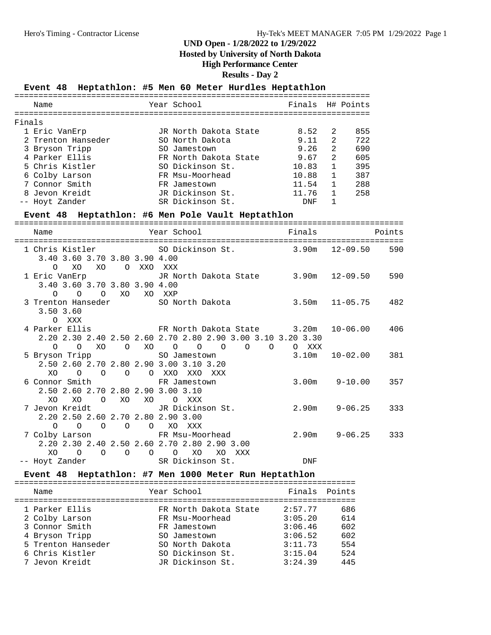#### **Hosted by University of North Dakota**

### **High Performance Center**

### **Results - Day 2**

### **Event 48 Heptathlon: #5 Men 60 Meter Hurdles Heptathlon**

|        | Name               | Year School           | Finals H# Points |                |     |
|--------|--------------------|-----------------------|------------------|----------------|-----|
| Finals |                    |                       |                  |                |     |
|        | 1 Eric VanErp      | JR North Dakota State | 8.52             | 2              | 855 |
|        | 2 Trenton Hanseder | SO North Dakota       | 9.11             | $\mathfrak{D}$ | 722 |
|        | 3 Bryson Tripp     | SO Jamestown          | 9.26             | $\mathcal{L}$  | 690 |
|        | 4 Parker Ellis     | FR North Dakota State | 9.67             | $\mathfrak{D}$ | 605 |
|        | 5 Chris Kistler    | SO Dickinson St.      | 10.83            | 1              | 395 |
|        | 6 Colby Larson     | FR Msu-Moorhead       | 10.88            | 1              | 387 |
|        | 7 Connor Smith     | FR Jamestown          | 11.54            | $\mathbf{1}$   | 288 |
|        | 8 Jevon Kreidt     | JR Dickinson St.      | 11.76            |                | 258 |
|        | -- Hovt Zander     | SR Dickinson St.      | DNF              |                |     |

#### **Event 48 Heptathlon: #6 Men Pole Vault Heptathlon**

| Name                                                                            | Year School                                                              | Finals | Points                             |
|---------------------------------------------------------------------------------|--------------------------------------------------------------------------|--------|------------------------------------|
|                                                                                 |                                                                          |        | ---------------------------------- |
|                                                                                 | 1 Chris Kistler 50 Dickinson St. 3.90m 12-09.50                          |        | 590                                |
| 3.40 3.60 3.70 3.80 3.90 4.00                                                   |                                                                          |        |                                    |
| XO<br>XO<br>O XXO XXX<br>$\circ$                                                | 1 Eric VanErp               JR North Dakota State       3.90m   12-09.50 |        | 590                                |
| 3.40 3.60 3.70 3.80 3.90 4.00                                                   |                                                                          |        |                                    |
| $\circ$ $\circ$ $\circ$<br>XO                                                   | XO XXP                                                                   |        |                                    |
|                                                                                 | 3 Trenton Hanseder SO North Dakota 3.50m 11-05.75 482                    |        |                                    |
| 3.50 3.60                                                                       |                                                                          |        |                                    |
| O XXX                                                                           |                                                                          |        |                                    |
|                                                                                 | 4 Parker Ellis TR North Dakota State 3.20m                               |        | $10 - 06.00$ 406                   |
|                                                                                 | 2.20 2.30 2.40 2.50 2.60 2.70 2.80 2.90 3.00 3.10 3.20 3.30              |        |                                    |
|                                                                                 | 0 0 XO 0 XO 0 0 0 0 0 0 0 XXX                                            |        |                                    |
|                                                                                 | 5 Bryson Tripp SO Jamestown 3.10m                                        |        | 10-02.00<br>381                    |
| 2.50 2.60 2.70 2.80 2.90 3.00 3.10 3.20                                         |                                                                          |        |                                    |
| O O O O XXO XXO XXX<br>XO.                                                      |                                                                          |        | $3.00m$ $9-10.00$<br>357           |
| 6 Connor Smith FR Jamestown<br>2.50 2.60 2.70 2.80 2.90 3.00 3.10               |                                                                          |        |                                    |
| XO XO<br>O XO XO O XXX                                                          |                                                                          |        |                                    |
| 7 Jevon Kreidt - JR Dickinson St.                                               |                                                                          |        | $2.90m$ $9-06.25$<br>333           |
| 2.20 2.50 2.60 2.70 2.80 2.90 3.00                                              |                                                                          |        |                                    |
| O O O XO XXX<br>$\circ$ $\circ$                                                 |                                                                          |        |                                    |
| 7 Colby Larson                       FR Msu-Moorhead                            |                                                                          |        | $2.90m$ $9-06.25$<br>333           |
| 2.20 2.30 2.40 2.50 2.60 2.70 2.80 2.90 3.00                                    |                                                                          |        |                                    |
| XO<br>$\begin{matrix} 0 & 0 & 0 & 0 & \text{X0} \end{matrix}$<br>$\overline{O}$ | XO XXX                                                                   |        |                                    |
| -- Hoyt Zander SR Dickinson St.                                                 |                                                                          | DNF    |                                    |

### **Event 48 Heptathlon: #7 Men 1000 Meter Run Heptathlon**

| Name               | Year School           | Finals  | Points |
|--------------------|-----------------------|---------|--------|
| 1 Parker Ellis     | FR North Dakota State | 2:57.77 | 686    |
| 2 Colby Larson     | FR Msu-Moorhead       | 3:05.20 | 614    |
| 3 Connor Smith     | FR Jamestown          | 3:06.46 | 602    |
| 4 Bryson Tripp     | SO Jamestown          | 3:06.52 | 602    |
| 5 Trenton Hanseder | SO North Dakota       | 3:11.73 | 554    |
| 6 Chris Kistler    | SO Dickinson St.      | 3:15.04 | 524    |
| 7 Jevon Kreidt     | JR Dickinson St.      | 3:24.39 | 445    |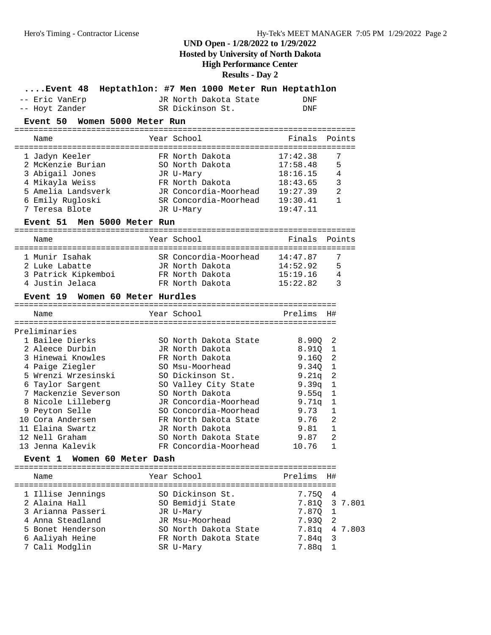## **Hosted by University of North Dakota**

**High Performance Center**

**Results - Day 2**

| Event 48                           | Heptathlon: #7 Men 1000 Meter Run Heptathlon   |                      |                |
|------------------------------------|------------------------------------------------|----------------------|----------------|
| -- Eric VanErp                     | JR North Dakota State                          | DNF                  |                |
| -- Hoyt Zander                     | SR Dickinson St.                               | DNF                  |                |
| Event 50<br>Women 5000 Meter Run   |                                                |                      |                |
|                                    |                                                |                      |                |
| Name                               | Year School                                    | Finals               | Points         |
|                                    |                                                |                      |                |
| 1 Jadyn Keeler                     | FR North Dakota                                | 17:42.38             | 7              |
| 2 McKenzie Burian                  | SO North Dakota                                | 17:58.48             | 5              |
| 3 Abigail Jones                    | JR U-Mary                                      | 18:16.15             | 4              |
| 4 Mikayla Weiss                    | FR North Dakota                                | 18:43.65             | 3              |
| 5 Amelia Landsverk                 | JR Concordia-Moorhead<br>SR Concordia-Moorhead | 19:27.39             | 2<br>1         |
| 6 Emily Rugloski<br>7 Teresa Blote |                                                | 19:30.41<br>19:47.11 |                |
|                                    | JR U-Mary                                      |                      |                |
| Event 51 Men 5000 Meter Run        |                                                |                      |                |
| Name                               | Year School                                    | Finals               | Points         |
|                                    |                                                |                      |                |
| 1 Munir Isahak                     | SR Concordia-Moorhead 14:47.87                 |                      | 7              |
| 2 Luke Labatte                     | JR North Dakota                                | 14:52.92             | 5              |
| 3 Patrick Kipkemboi                | FR North Dakota                                | 15:19.16             | 4              |
| 4 Justin Jelaca                    | FR North Dakota                                | 15:22.82             | 3              |
| Event 19 Women 60 Meter Hurdles    |                                                |                      |                |
|                                    |                                                |                      |                |
| Name                               | Year School                                    | Prelims              | H#             |
|                                    |                                                |                      |                |
| Preliminaries                      |                                                |                      |                |
| 1 Bailee Dierks                    | SO North Dakota State                          | 8.900                | 2              |
| 2 Aleece Durbin                    | JR North Dakota                                | 8.910                | 1              |
| 3 Hinewai Knowles                  | FR North Dakota                                | 9.160                | 2              |
| 4 Paige Ziegler                    | SO Msu-Moorhead                                | 9.340                | 1              |
| 5 Wrenzi Wrzesinski                | SO Dickinson St.                               | 9.21q                | 2              |
| 6 Taylor Sargent                   | SO Valley City State                           | 9.39q                | $\mathbf 1$    |
| 7 Mackenzie Severson               | SO North Dakota                                | 9.55q                | 1              |
| 8 Nicole Lilleberg                 | JR Concordia-Moorhead                          | 9.71q                | $\mathbf 1$    |
| 9 Peyton Selle                     | SO Concordia-Moorhead                          | 9.73                 | 1              |
| 10 Cora Andersen                   | FR North Dakota State                          | 9.76                 | $\overline{2}$ |
| 11 Elaina Swartz                   | JR North Dakota                                | 9.81                 | 1              |
| 12 Nell Graham                     | SO North Dakota State                          | 9.87                 | 2              |
| 13 Jenna Kalevik                   | FR Concordia-Moorhead                          | 10.76                | ı              |
| Women 60 Meter Dash<br>Event 1     |                                                |                      |                |
|                                    |                                                |                      |                |
| Name                               | Year School                                    | Prelims              | H#             |
| 1 Illise Jennings                  | SO Dickinson St.                               | 7.750                | 4              |
| 2 Alaina Hall                      | SO Bemidji State                               | 7.810                | 3<br>7.801     |
| 3 Arianna Passeri                  | JR U-Mary                                      | 7.870                | 1              |
| 4 Anna Steadland                   | JR Msu-Moorhead                                | 7.930                | 2              |
| 5 Bonet Henderson                  | SO North Dakota State                          | 7.81q                | 4 7.803        |
| 6 Aaliyah Heine                    | FR North Dakota State                          | 7.84q                | 3              |
| 7 Cali Modglin                     | SR U-Mary                                      | 7.88q                | 1              |
|                                    |                                                |                      |                |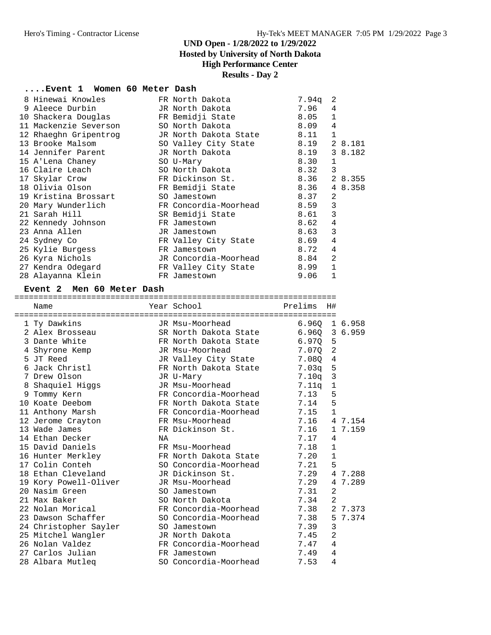**Hosted by University of North Dakota**

### **High Performance Center**

### **Results - Day 2**

### **....Event 1 Women 60 Meter Dash**

| 8 Hinewai Knowles                                   | FR North Dakota       | 7.94q | 2              |         |
|-----------------------------------------------------|-----------------------|-------|----------------|---------|
| 9 Aleece Durbin                                     | JR North Dakota       | 7.96  | 4              |         |
| 10 Shackera Douglas             FR Bemidji State    |                       | 8.05  | $\mathbf{1}$   |         |
| 11 Mackenzie Severson           SO North Dakota     |                       | 8.09  | $\overline{4}$ |         |
| 12 Rhaeghn Gripentrog         JR North Dakota State |                       | 8.11  | $\mathbf{1}$   |         |
| 13 Brooke Malsom                                    | SO Valley City State  | 8.19  |                | 2 8.181 |
| 14 Jennifer Parent         JR North Dakota          |                       | 8.19  |                | 3 8.182 |
| 15 A'Lena Chaney                                    | SO U-Mary             | 8.30  | 1              |         |
| 16 Claire Leach                                     | SO North Dakota       | 8.32  | 3              |         |
| 17 Skylar Crow                                      | FR Dickinson St.      | 8.36  |                | 2 8.355 |
| 18 Olivia Olson                                     | FR Bemidji State      | 8.36  |                | 4 8.358 |
| 19 Kristina Brossart                                | SO Jamestown          | 8.37  | 2              |         |
| 20 Mary Wunderlich                                  | FR Concordia-Moorhead | 8.59  | 3              |         |
| 21 Sarah Hill                                       | SR Bemidji State      | 8.61  | 3              |         |
| 22 Kennedy Johnson                                  | FR Jamestown          | 8.62  | $\overline{4}$ |         |
| 23 Anna Allen                                       | JR Jamestown          | 8.63  | 3              |         |
| 24 Sydney Co                                        | FR Valley City State  | 8.69  | $\overline{4}$ |         |
| 25 Kylie Burgess                                    | FR Jamestown          | 8.72  | 4              |         |
| 26 Kyra Nichols                                     | JR Concordia-Moorhead | 8.84  | $\overline{2}$ |         |
| 27 Kendra Odegard                                   | FR Valley City State  | 8.99  | $\mathbf{1}$   |         |
| 28 Alayanna Klein                                   | FR Jamestown          | 9.06  | $\mathbf{1}$   |         |

#### **Event 2 Men 60 Meter Dash**

|   | Name                  |    | Year School           | Prelims           | H#             |         |
|---|-----------------------|----|-----------------------|-------------------|----------------|---------|
|   |                       |    |                       |                   |                |         |
|   | 1 Ty Dawkins          |    | JR Msu-Moorhead       | 6.960             |                | 1 6.958 |
|   | 2 Alex Brosseau       |    | SR North Dakota State | 6.960 3 6.959     |                |         |
|   | 3 Dante White         |    | FR North Dakota State | 6.970             | 5              |         |
|   | 4 Shyrone Kemp        |    | JR Msu-Moorhead       | 7.070             | 2              |         |
|   | 5 JT Reed             |    | JR Valley City State  | 7.080             | $\overline{4}$ |         |
| 6 | Jack Christl          |    | FR North Dakota State | 7.03 <sub>q</sub> | 5              |         |
|   | 7 Drew Olson          |    | JR U-Mary             | 7.10q             | $\overline{3}$ |         |
| 8 | Shaquiel Higgs        |    | JR Msu-Moorhead       | 7.11a             | $\mathbf 1$    |         |
| 9 | Tommy Kern            |    | FR Concordia-Moorhead | 7.13              | 5              |         |
|   | 10 Koate Deebom       |    | FR North Dakota State | 7.14              | 5              |         |
|   | 11 Anthony Marsh      |    | FR Concordia-Moorhead | 7.15              | $\mathbf{1}$   |         |
|   | 12 Jerome Crayton     |    | FR Msu-Moorhead       | 7.16              |                | 4 7.154 |
|   | 13 Wade James         |    | FR Dickinson St.      | 7.16              |                | 1 7.159 |
|   | 14 Ethan Decker       | ΝA |                       | 7.17              | 4              |         |
|   | 15 David Daniels      |    | FR Msu-Moorhead       | 7.18              | $\mathbf{1}$   |         |
|   | 16 Hunter Merkley     |    | FR North Dakota State | 7.20              | $\mathbf{1}$   |         |
|   | 17 Colin Conteh       |    | SO Concordia-Moorhead | 7.21              | 5              |         |
|   | 18 Ethan Cleveland    |    | JR Dickinson St.      | 7.29              |                | 4 7.288 |
|   | 19 Kory Powell-Oliver |    | JR Msu-Moorhead       | 7.29              |                | 4 7.289 |
|   | 20 Nasim Green        |    | SO Jamestown          | 7.31              | $\overline{2}$ |         |
|   | 21 Max Baker          |    | SO North Dakota       | 7.34              | $\mathfrak{D}$ |         |
|   | 22 Nolan Morical      |    | FR Concordia-Moorhead | 7.38              |                | 2 7.373 |
|   | 23 Dawson Schaffer    |    | SO Concordia-Moorhead | 7.38              |                | 5 7.374 |
|   | 24 Christopher Sayler |    | SO Jamestown          | 7.39              | 3              |         |
|   | 25 Mitchel Wangler    |    | JR North Dakota       | 7.45              | $\overline{2}$ |         |
|   | 26 Nolan Valdez       |    | FR Concordia-Moorhead | 7.47              | 4              |         |
|   | 27 Carlos Julian      |    | FR Jamestown          | 7.49              | 4              |         |
|   | 28 Albara Mutleg      |    | SO Concordia-Moorhead | 7.53              | 4              |         |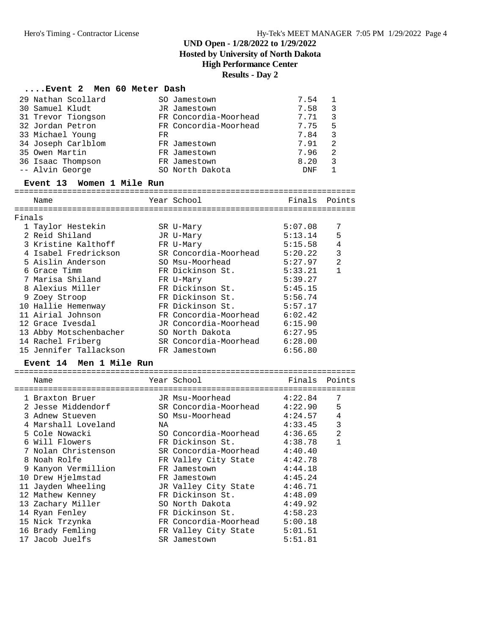#### **UND Open - 1/28/2022 to 1/29/2022 Hosted by University of North Dakota**

### **High Performance Center**

#### **Results - Day 2**

#### **....Event 2 Men 60 Meter Dash**

| 29 Nathan Scollard |     | SO Jamestown          | 7.54       |   |
|--------------------|-----|-----------------------|------------|---|
| 30 Samuel Kludt    |     | JR Jamestown          | 7.58       | 3 |
| 31 Trevor Tiongson |     | FR Concordia-Moorhead | 7.71       | 3 |
| 32 Jordan Petron   |     | FR Concordia-Moorhead | 7.75       | 5 |
| 33 Michael Young   | FR. |                       | 7.84       | 3 |
| 34 Joseph Carlblom |     | FR Jamestown          | 7.91       | 2 |
| 35 Owen Martin     |     | FR Jamestown          | 7.96       | 2 |
| 36 Isaac Thompson  |     | FR Jamestown          | 8.20       | 3 |
| -- Alvin George    |     | SO North Dakota       | <b>DNF</b> |   |

 -- Alvin George SO North Dakota DNF 1 **Event 13 Women 1 Mile Run** ======================================================================= Name **The Year School** The School Finals Points ======================================================================= Finals 1 Taylor Hestekin SR U-Mary 5:07.08 7 2 Reid Shiland JR U-Mary 5:13.14 5 3 Kristine Kalthoff FR U-Mary 5:15.58 4 4 Isabel Fredrickson SR Concordia-Moorhead 5:20.22 3 5 Aislin Anderson SO Msu-Moorhead 5:27.97 2 6 Grace Timm FR Dickinson St. 5:33.21 1 7 Marisa Shiland FR U-Mary 5:39.27 8 Alexius Miller FR Dickinson St. 5:45.15 9 Zoey Stroop FR Dickinson St. 5:56.74 10 Hallie Hemenway FR Dickinson St. 5:57.17 11 Airial Johnson FR Concordia-Moorhead 6:02.42 12 Grace Ivesdal JR Concordia-Moorhead 6:15.90 13 Abby Motschenbacher SO North Dakota 6:27.95

 14 Rachel Friberg SR Concordia-Moorhead 6:28.00 15 Jennifer Tallackson FR Jamestown 6:56.80

#### **Event 14 Men 1 Mile Run**

|   | Name                |    | Year School                  | Finals  | Points         |
|---|---------------------|----|------------------------------|---------|----------------|
|   | 1 Braxton Bruer     |    | JR Msu-Moorhead              | 4:22.84 | 7              |
|   | 2 Jesse Middendorf  |    | SR Concordia-Moorhead        | 4:22.90 | 5              |
|   | 3 Adnew Stueven     |    | SO Msu-Moorhead              | 4:24.57 | 4              |
|   | 4 Marshall Loveland | ΝA |                              | 4:33.45 | 3              |
|   | 5 Cole Nowacki      |    | SO Concordia-Moorhead        | 4:36.65 | $\mathfrak{D}$ |
|   | 6 Will Flowers      |    | FR Dickinson St.             | 4:38.78 |                |
|   | 7 Nolan Christenson |    | SR Concordia-Moorhead        | 4:40.40 |                |
| 8 | Noah Rolfe          |    | FR Valley City State 4:42.78 |         |                |
| 9 | Kanyon Vermillion   |    | FR Jamestown                 | 4:44.18 |                |
|   | 10 Drew Hjelmstad   |    | FR Jamestown                 | 4:45.24 |                |
|   | 11 Jayden Wheeling  |    | JR Valley City State         | 4:46.71 |                |
|   | 12 Mathew Kenney    |    | FR Dickinson St.             | 4:48.09 |                |
|   | 13 Zachary Miller   |    | SO North Dakota              | 4:49.92 |                |
|   | 14 Ryan Fenley      |    | FR Dickinson St.             | 4:58.23 |                |
|   | 15 Nick Trzynka     |    | FR Concordia-Moorhead        | 5:00.18 |                |
|   | 16 Brady Femling    |    | FR Valley City State         | 5:01.51 |                |
|   | 17 Jacob Juelfs     |    | SR Jamestown                 | 5:51.81 |                |
|   |                     |    |                              |         |                |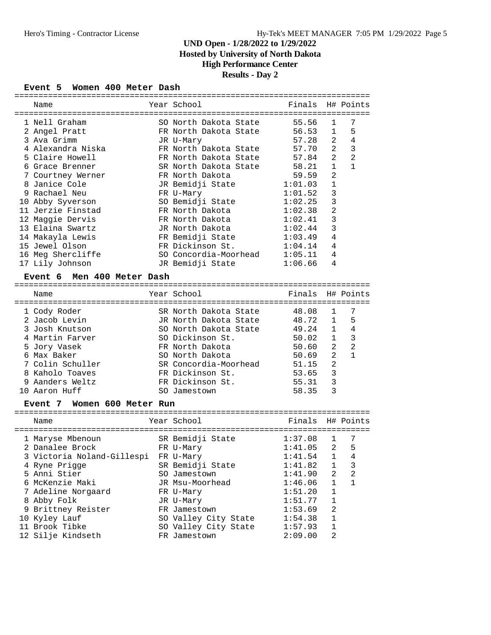### **UND Open - 1/28/2022 to 1/29/2022 Hosted by University of North Dakota**

### **High Performance Center**

### **Results - Day 2**

#### **Event 5 Women 400 Meter Dash**

| Name                           | Year School                                    | Finals  |                | H# Points      |
|--------------------------------|------------------------------------------------|---------|----------------|----------------|
|                                |                                                | 55.56   |                | 7              |
| 1 Nell Graham<br>2 Angel Pratt | SO North Dakota State<br>FR North Dakota State | 56.53   | 1<br>1         | 5              |
| 3 Ava Grimm                    | JR U-Mary                                      | 57.28   | 2              | 4              |
| 4 Alexandra Niska              | FR North Dakota State                          | 57.70   | 2              | 3              |
| 5 Claire Howell                | FR North Dakota State                          | 57.84   | 2              | 2              |
| 6 Grace Brenner                | SR North Dakota State                          | 58.21   | $\mathbf{1}$   | $\mathbf{1}$   |
| 7 Courtney Werner              | FR North Dakota                                | 59.59   | $\overline{2}$ |                |
| 8 Janice Cole                  | JR Bemidji State                               | 1:01.03 | 1              |                |
| 9 Rachael Neu                  | FR U-Mary                                      | 1:01.52 | 3              |                |
| 10 Abby Syverson               | SO Bemidji State                               | 1:02.25 | 3              |                |
| 11 Jerzie Finstad              | FR North Dakota                                | 1:02.38 | $\overline{a}$ |                |
| 12 Maggie Dervis               | FR North Dakota                                | 1:02.41 | 3              |                |
| 13 Elaina Swartz               | JR North Dakota                                | 1:02.44 | 3              |                |
| 14 Makayla Lewis               | FR Bemidji State                               | 1:03.49 | $\overline{4}$ |                |
| 15 Jewel Olson                 | FR Dickinson St.                               | 1:04.14 | 4              |                |
| 16 Meg Shercliffe              | SO Concordia-Moorhead                          | 1:05.11 | 4              |                |
| 17 Lily Johnson                | JR Bemidji State                               | 1:06.66 | 4              |                |
|                                |                                                |         |                |                |
| Men 400 Meter Dash<br>Event 6  |                                                |         |                |                |
|                                |                                                |         |                |                |
| Name                           | Year School                                    | Finals  |                | H# Points      |
| 1 Cody Roder                   | SR North Dakota State                          | 48.08   | 1              | 7              |
| 2 Jacob Levin                  | JR North Dakota State                          | 48.72   | 1              | 5              |
| 3 Josh Knutson                 | SO North Dakota State                          | 49.24   | 1              | 4              |
| 4 Martin Farver                | SO Dickinson St.                               | 50.02   | 1              | 3              |
| 5 Jory Vasek                   | FR North Dakota                                | 50.60   | 2              | $\overline{2}$ |
| 6 Max Baker                    | SO North Dakota                                | 50.69   | 2              | $\mathbf{1}$   |
| 7 Colin Schuller               | SR Concordia-Moorhead                          | 51.15   | $\overline{a}$ |                |
| 8 Kaholo Toaves                | FR Dickinson St.                               | 53.65   | 3              |                |
| 9 Aanders Weltz                | FR Dickinson St.                               | 55.31   | 3              |                |
| 10 Aaron Huff                  | SO Jamestown                                   | 58.35   | 3              |                |
|                                |                                                |         |                |                |
| Women 600 Meter Run<br>Event 7 |                                                |         |                |                |
| Name                           | Year School                                    | Finals  |                | H# Points      |
| 1 Maryse Mbenoun               | SR Bemidji State                               | 1:37.08 | 1              | 7              |
| 2 Danalee Brock                | FR U-Mary                                      | 1:41.05 | 2              | 5              |
| 3 Victoria Noland-Gillespi     | FR U-Mary                                      | 1:41.54 | 1              | 4              |
| 4 Ryne Prigge                  | SR Bemidji State                               | 1:41.82 | 1              | 3              |
| 5 Anni Stier                   | SO Jamestown                                   | 1:41.90 | 2              | 2              |
| 6 McKenzie Maki                | JR Msu-Moorhead                                | 1:46.06 | 1              | 1              |
| 7 Adeline Norgaard             | FR U-Mary                                      | 1:51.20 | $\mathbf 1$    |                |
| 8 Abby Folk                    | JR U-Mary                                      | 1:51.77 | $\mathbf 1$    |                |
| 9 Brittney Reister             | FR Jamestown                                   | 1:53.69 | 2              |                |
| 10 Kyley Lauf                  | SO Valley City State                           | 1:54.38 | 1              |                |
| 11 Brook Tibke                 | SO Valley City State                           | 1:57.93 | $\mathbf 1$    |                |

12 Silje Kindseth FR Jamestown 2:09.00 2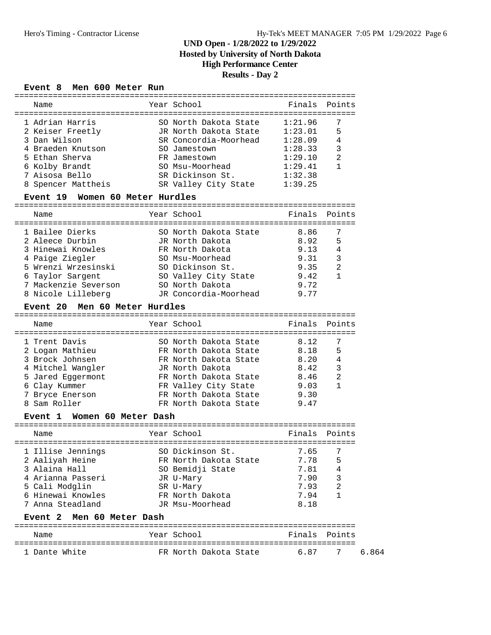### **UND Open - 1/28/2022 to 1/29/2022 Hosted by University of North Dakota High Performance Center**

### **Results - Day 2**

# **Event 8 Men 600 Meter Run**

| Name                                  | Year School                              |         | Finals Points  |
|---------------------------------------|------------------------------------------|---------|----------------|
| 1 Adrian Harris                       | SO North Dakota State                    | 1:21.96 | 7              |
| 2 Keiser Freetly                      | JR North Dakota State 1:23.01            |         | 5              |
| 3 Dan Wilson                          | SR Concordia-Moorhead                    | 1:28.09 | 4              |
| 4 Braeden Knutson                     | SO Jamestown                             | 1:28.33 | 3              |
| 5 Ethan Sherva                        | FR Jamestown                             | 1:29.10 | 2              |
| 6 Kolby Brandt                        | SO Msu-Moorhead                          | 1:29.41 | 1              |
| 7 Aisosa Bello                        | SR Dickinson St.                         |         |                |
|                                       |                                          | 1:32.38 |                |
| 8 Spencer Mattheis                    | SR Valley City State                     | 1:39.25 |                |
| Event 19 Women 60 Meter Hurdles       |                                          |         |                |
| Name                                  | Year School                              | Finals  | Points         |
| 1 Bailee Dierks                       | SO North Dakota State                    | 8.86    | 7              |
| 2 Aleece Durbin                       | JR North Dakota                          | 8.92    | 5              |
| 3 Hinewai Knowles                     | FR North Dakota                          | 9.13    | $\overline{4}$ |
| 4 Paige Ziegler                       | SO Msu-Moorhead                          | 9.31    | 3              |
| 5 Wrenzi Wrzesinski                   | SO Dickinson St.                         | 9.35    | $\overline{2}$ |
| 6 Taylor Sargent                      | SO Valley City State                     | 9.42    | $\mathbf{1}$   |
| 7 Mackenzie Severson                  | SO North Dakota                          | 9.72    |                |
|                                       | 8 Nicole Lilleberg TR Concordia-Moorhead | 9.77    |                |
| Event 20 Men 60 Meter Hurdles         |                                          |         |                |
|                                       |                                          |         |                |
| Name                                  | Year School                              | Finals  | Points         |
|                                       | SO North Dakota State                    |         |                |
| 1 Trent Davis                         |                                          | 8.12    | 7              |
| 2 Logan Mathieu                       | FR North Dakota State                    | 8.18    | 5              |
| 3 Brock Johnsen                       | FR North Dakota State                    | 8.20    | $\overline{4}$ |
| 4 Mitchel Wangler                     | JR North Dakota                          | 8.42    | 3              |
| 5 Jared Eggermont                     | FR North Dakota State 8.46               |         | 2              |
| 6 Clay Kummer                         | FR Valley City State 9.03                |         | 1              |
| 7 Bryce Enerson                       | FR North Dakota State                    | 9.30    |                |
| 8 Sam Roller                          | FR North Dakota State                    | 9.47    |                |
| Women 60 Meter Dash<br><b>Event 1</b> |                                          |         |                |
| Name                                  | Year School                              | Finals  | Points         |
| 1 Illise Jennings                     | SO Dickinson St.                         | 7.65    | 7              |
| 2 Aaliyah Heine                       | FR North Dakota State                    | 7.78    | 5              |
| 3 Alaina Hall                         | SO Bemidji State                         | 7.81    | 4              |
| 4 Arianna Passeri                     | JR U-Mary                                | 7.90    | 3              |
|                                       |                                          |         |                |
| 5 Cali Modglin                        | SR U-Mary                                | 7.93    | 2<br>1         |
| 6 Hinewai Knowles                     | FR North Dakota                          | 7.94    |                |
| 7 Anna Steadland                      | JR Msu-Moorhead                          | 8.18    |                |
| Men 60 Meter Dash<br><b>Event 2</b>   |                                          |         |                |
| Name                                  | Year School                              | Finals  | Points         |
| 1 Dante White                         | FR North Dakota State                    | 6.87    | 6.864<br>7     |
|                                       |                                          |         |                |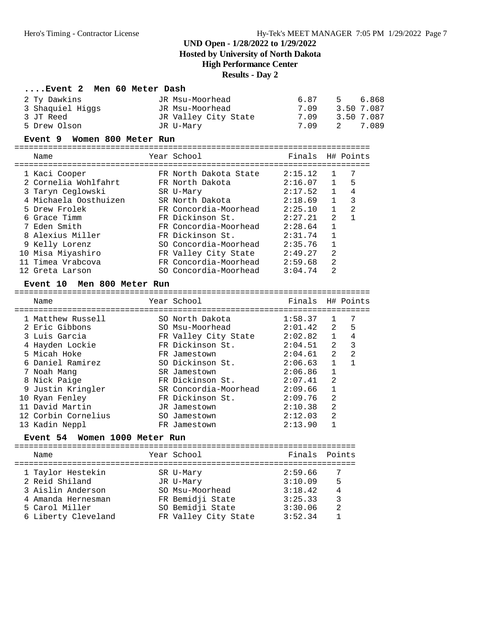**Hosted by University of North Dakota**

**High Performance Center**

### **Results - Day 2**

#### **....Event 2 Men 60 Meter Dash**

| JR Msu-Moorhead      | 687  | 5 6.868    |
|----------------------|------|------------|
| JR Msu-Moorhead      | 709  | 3.50 7.087 |
| JR Valley City State | 7.09 | 3.50 7.087 |
| JR U-Marv            | 7.09 | 2 7.089    |
|                      |      |            |

#### **Event 9 Women 800 Meter Run**

==========================================================================

| Name | Year School | Finals H# Points |  |
|------|-------------|------------------|--|
|      |             |                  |  |

| 1 Kaci Cooper         | FR North Dakota State | 2:15.12 |                | 7 |
|-----------------------|-----------------------|---------|----------------|---|
| 2 Cornelia Wohlfahrt  | FR North Dakota       | 2:16.07 | $\mathbf{1}$   | 5 |
| 3 Taryn Ceglowski     | SR U-Mary             | 2:17.52 |                | 4 |
| 4 Michaela Oosthuizen | SR North Dakota       | 2:18.69 |                | 3 |
| 5 Drew Frolek         | FR Concordia-Moorhead | 2:25.10 |                | 2 |
| 6 Grace Timm          | FR Dickinson St.      | 2:27.21 | 2              |   |
| 7 Eden Smith          | FR Concordia-Moorhead | 2:28.64 |                |   |
| 8 Alexius Miller      | FR Dickinson St.      | 2:31.74 |                |   |
| 9 Kelly Lorenz        | SO Concordia-Moorhead | 2:35.76 |                |   |
| 10 Misa Miyashiro     | FR Valley City State  | 2:49.27 | 2              |   |
| 11 Timea Vrabcova     | FR Concordia-Moorhead | 2:59.68 | $\mathfrak{D}$ |   |
| 12 Greta Larson       | SO Concordia-Moorhead | 3:04.74 | $\mathfrak{D}$ |   |
|                       |                       |         |                |   |

#### **Event 10 Men 800 Meter Run**

| Name                | Year School           | Finals H# Points |                |                |
|---------------------|-----------------------|------------------|----------------|----------------|
| 1 Matthew Russell   | SO North Dakota       | 1:58.37          |                |                |
| 2 Eric Gibbons      | SO Msu-Moorhead       | 2:01.42          | $2^{\circ}$    | 5              |
| 3 Luis Garcia       | FR Valley City State  | 2:02.82          | $\mathbf{1}$   | 4              |
| 4 Hayden Lockie     | FR Dickinson St.      | 2:04.51          | 2              | 3              |
| 5 Micah Hoke        | FR Jamestown          | 2:04.61          | $\mathfrak{D}$ | $\mathfrak{D}$ |
| 6 Daniel Ramirez    | SO Dickinson St.      | 2:06.63          | $\mathbf{1}$   |                |
| 7 Noah Mang         | SR Jamestown          | 2:06.86          | $\mathbf{1}$   |                |
| 8 Nick Paige        | FR Dickinson St.      | 2:07.41          | $\mathfrak{D}$ |                |
| 9 Justin Kringler   | SR Concordia-Moorhead | 2:09.66          |                |                |
| 10 Ryan Fenley      | FR Dickinson St.      | 2:09.76          | $\overline{2}$ |                |
| 11 David Martin     | JR Jamestown          | 2:10.38          | $\mathfrak{D}$ |                |
| 12 Corbin Cornelius | SO Jamestown          | 2:12.03          | $\overline{2}$ |                |
| 13 Kadin Neppl      | FR Jamestown          | 2:13.90          |                |                |
|                     |                       |                  |                |                |

#### **Event 54 Women 1000 Meter Run**

=======================================================================

| Name                | Year School          | Finals Points |                |
|---------------------|----------------------|---------------|----------------|
| 1 Taylor Hestekin   | SR U-Mary            | 2:59.66       |                |
| 2 Reid Shiland      | JR U-Mary            | 3:10.09       | 5              |
| 3 Aislin Anderson   | SO Msu-Moorhead      | 3:18.42       | $\overline{4}$ |
| 4 Amanda Hernesman  | FR Bemidji State     | 3:25.33       | 3              |
| 5 Carol Miller      | SO Bemidji State     | 3:30.06       | $\mathfrak{D}$ |
| 6 Liberty Cleveland | FR Valley City State | 3:52.34       |                |
|                     |                      |               |                |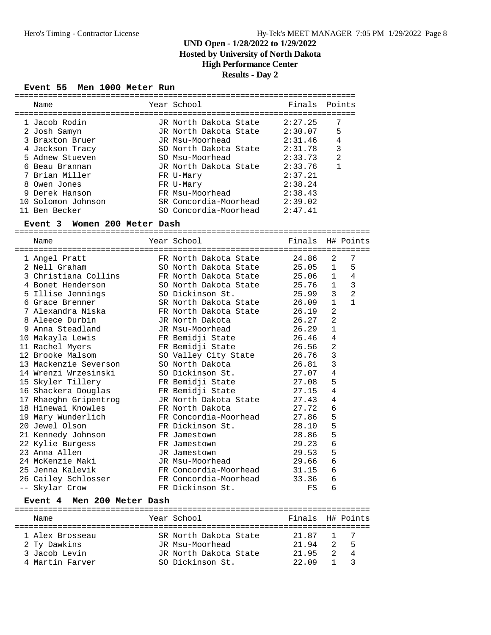### **UND Open - 1/28/2022 to 1/29/2022 Hosted by University of North Dakota**

## **High Performance Center**

### **Results - Day 2**

#### **Event 55 Men 1000 Meter Run**

| Name               | Year School           | Finals Points |                |
|--------------------|-----------------------|---------------|----------------|
| 1 Jacob Rodin      | JR North Dakota State | 2:27.25       | 7              |
| 2 Josh Samyn       | JR North Dakota State | 2:30.07       | 5              |
| 3 Braxton Bruer    | JR Msu-Moorhead       | 2:31.46       | $\overline{4}$ |
| 4 Jackson Tracy    | SO North Dakota State | 2:31.78       | 3              |
| 5 Adnew Stueven    | SO Msu-Moorhead       | 2:33.73       | 2              |
| 6 Beau Brannan     | JR North Dakota State | 2:33.76       |                |
| 7 Brian Miller     | FR U-Mary             | 2:37.21       |                |
| 8 Owen Jones       | FR U-Mary             | 2:38.24       |                |
| 9 Derek Hanson     | FR Msu-Moorhead       | 2:38.43       |                |
| 10 Solomon Johnson | SR Concordia-Moorhead | 2:39.02       |                |
| 11 Ben Becker      | SO Concordia-Moorhead | 2:47.41       |                |

#### **Event 3 Women 200 Meter Dash**

==========================================================================

| Name                       | Year School                 | Finals H# Points |                |                |
|----------------------------|-----------------------------|------------------|----------------|----------------|
| 1 Angel Pratt              | FR North Dakota State       | 24.86            | 2              | 7              |
| 2 Nell Graham              | SO North Dakota State       | 25.05            | 1              | 5              |
| 3 Christiana Collins       | FR North Dakota State 25.06 |                  | 1              | $\overline{4}$ |
| 4 Bonet Henderson          | SO North Dakota State 25.76 |                  | 1              | 3              |
| 5 Illise Jennings          | SO Dickinson St.            | 25.99            | $\overline{3}$ | $\overline{a}$ |
| 6 Grace Brenner            | SR North Dakota State       | 26.09            | $\mathbf{1}$   | $\mathbf{1}$   |
| 7 Alexandra Niska          | FR North Dakota State       | 26.19            | $\overline{2}$ |                |
| 8 Aleece Durbin            | JR North Dakota             | 26.27            | 2              |                |
| 9 Anna Steadland           | JR Msu-Moorhead             | 26.29            | $\mathbf{1}$   |                |
| 10 Makayla Lewis           | FR Bemidji State            | 26.46            | 4              |                |
| 11 Rachel Myers            | FR Bemidji State 26.56      |                  | $\overline{2}$ |                |
| 12 Brooke Malsom           | SO Valley City State 26.76  |                  | 3              |                |
| 13 Mackenzie Severson      | SO North Dakota             | 26.81            | $\mathbf{3}$   |                |
| 14 Wrenzi Wrzesinski       | SO Dickinson St.            | 27.07            | $\overline{4}$ |                |
| 15 Skyler Tillery          | FR Bemidji State 27.08      |                  | 5              |                |
| 16 Shackera Douglas        | FR Bemidji State 27.15      |                  | 4              |                |
| 17 Rhaeghn Gripentrog      | JR North Dakota State       | 27.43            | $\overline{4}$ |                |
| 18 Hinewai Knowles         | FR North Dakota             | 27.72            | 6              |                |
| 19 Mary Wunderlich         | FR Concordia-Moorhead       | 27.86            | 5              |                |
| 20 Jewel Olson             | FR Dickinson St.            | 28.10            | 5              |                |
| 21 Kennedy Johnson         | FR Jamestown                | 28.86            | 5              |                |
| 22 Kylie Burgess           | FR Jamestown                | 29.23            | $\epsilon$     |                |
| 23 Anna Allen              | JR Jamestown                | 29.53            | 5              |                |
| 24 McKenzie Maki           | JR Msu-Moorhead             | 29.66            | $\epsilon$     |                |
| 25 Jenna Kalevik           | FR Concordia-Moorhead 31.15 |                  | 6              |                |
| 26 Cailey Schlosser        | FR Concordia-Moorhead       | 33.36            | 6              |                |
| -- Skylar Crow             | FR Dickinson St.            | FS               | 6              |                |
| Event 4 Men 200 Meter Dash |                             |                  |                |                |

========================================================================== Name The Year School The Finals H# Points ========================================================================== 1 Alex Brosseau SR North Dakota State 21.87 1 7 2 Ty Dawkins JR Msu-Moorhead 21.94 2 5 3 Jacob Levin JR North Dakota State 21.95 2 4 4 Martin Farver SO Dickinson St. 22.09 1 3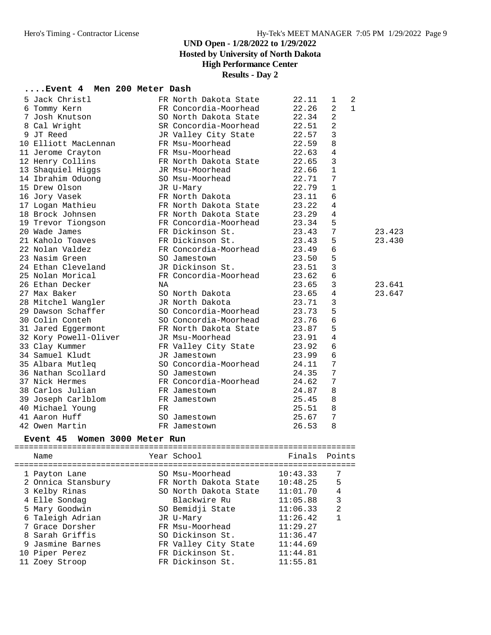**Hosted by University of North Dakota**

### **High Performance Center**

### **Results - Day 2**

### **....Event 4 Men 200 Meter Dash**

| 5 Jack Christl        |    | FR North Dakota State | 22.11 | $\mathbf 1$     | 2            |        |
|-----------------------|----|-----------------------|-------|-----------------|--------------|--------|
| 6 Tommy Kern          |    | FR Concordia-Moorhead | 22.26 | $\overline{a}$  | $\mathbf{1}$ |        |
| 7 Josh Knutson        |    | SO North Dakota State | 22.34 | 2               |              |        |
| 8 Cal Wright          |    | SR Concordia-Moorhead | 22.51 | $\overline{2}$  |              |        |
| 9 JT Reed             |    | JR Valley City State  | 22.57 | 3               |              |        |
| 10 Elliott MacLennan  |    | FR Msu-Moorhead       | 22.59 | 8               |              |        |
| 11 Jerome Crayton     |    | FR Msu-Moorhead       | 22.63 | 4               |              |        |
| 12 Henry Collins      |    | FR North Dakota State | 22.65 | 3               |              |        |
| 13 Shaquiel Higgs     |    | JR Msu-Moorhead       | 22.66 | $\mathbf{1}$    |              |        |
| 14 Ibrahim Oduong     |    | SO Msu-Moorhead       | 22.71 | 7               |              |        |
| 15 Drew Olson         |    | JR U-Mary             | 22.79 | $\mathbf{1}$    |              |        |
| 16 Jory Vasek         |    | FR North Dakota       | 23.11 | 6               |              |        |
| 17 Logan Mathieu      |    | FR North Dakota State | 23.22 | 4               |              |        |
| 18 Brock Johnsen      |    | FR North Dakota State | 23.29 | 4               |              |        |
| 19 Trevor Tiongson    |    | FR Concordia-Moorhead | 23.34 | 5               |              |        |
| 20 Wade James         |    | FR Dickinson St.      | 23.43 | 7               |              | 23.423 |
| 21 Kaholo Toaves      |    | FR Dickinson St.      | 23.43 | 5               |              | 23.430 |
| 22 Nolan Valdez       |    | FR Concordia-Moorhead | 23.49 | 6               |              |        |
| 23 Nasim Green        |    | SO Jamestown          | 23.50 | 5               |              |        |
| 24 Ethan Cleveland    |    | JR Dickinson St.      | 23.51 | 3               |              |        |
| 25 Nolan Morical      |    | FR Concordia-Moorhead | 23.62 | 6               |              |        |
| 26 Ethan Decker       | NA |                       | 23.65 | 3               |              | 23.641 |
| 27 Max Baker          |    | SO North Dakota       | 23.65 | 4               |              | 23.647 |
| 28 Mitchel Wangler    |    | JR North Dakota       | 23.71 | 3               |              |        |
| 29 Dawson Schaffer    |    | SO Concordia-Moorhead | 23.73 | 5               |              |        |
| 30 Colin Conteh       |    | SO Concordia-Moorhead | 23.76 | 6               |              |        |
| 31 Jared Eggermont    |    | FR North Dakota State | 23.87 | 5               |              |        |
| 32 Kory Powell-Oliver |    | JR Msu-Moorhead       | 23.91 | $\overline{4}$  |              |        |
| 33 Clay Kummer        |    | FR Valley City State  | 23.92 | 6               |              |        |
| 34 Samuel Kludt       |    | JR Jamestown          | 23.99 | 6               |              |        |
| 35 Albara Mutleq      |    | SO Concordia-Moorhead | 24.11 | $7\phantom{.0}$ |              |        |
| 36 Nathan Scollard    |    | SO Jamestown          | 24.35 | $7\phantom{.0}$ |              |        |
| 37 Nick Hermes        |    | FR Concordia-Moorhead | 24.62 | 7               |              |        |
| 38 Carlos Julian      |    | FR Jamestown          | 24.87 | 8               |              |        |
| 39 Joseph Carlblom    |    | FR Jamestown          | 25.45 | 8               |              |        |
| 40 Michael Young      | FR |                       | 25.51 | 8               |              |        |
| 41 Aaron Huff         |    | SO Jamestown          | 25.67 | 7               |              |        |
| 42 Owen Martin        |    | FR Jamestown          | 26.53 | 8               |              |        |
|                       |    |                       |       |                 |              |        |

#### **Event 45 Women 3000 Meter Run**

=======================================================================

|  | Name               | Year School           | Finals   | Points         |
|--|--------------------|-----------------------|----------|----------------|
|  | 1 Payton Lane      | SO Msu-Moorhead       | 10:43.33 | 7              |
|  | 2 Onnica Stansbury | FR North Dakota State | 10:48.25 | 5              |
|  | 3 Kelby Rinas      | SO North Dakota State | 11:01.70 | 4              |
|  | 4 Elle Sondag      | Blackwire Ru          | 11:05.88 | 3              |
|  | 5 Mary Goodwin     | SO Bemidji State      | 11:06.33 | $\mathfrak{D}$ |
|  | 6 Taleigh Adrian   | JR U-Mary             | 11:26.42 |                |
|  | 7 Grace Dorsher    | FR Msu-Moorhead       | 11:29.27 |                |
|  | 8 Sarah Griffis    | SO Dickinson St.      | 11:36.47 |                |
|  | 9 Jasmine Barnes   | FR Valley City State  | 11:44.69 |                |
|  | 10 Piper Perez     | FR Dickinson St.      | 11:44.81 |                |
|  | 11 Zoev Stroop     | FR Dickinson St.      | 11:55.81 |                |
|  |                    |                       |          |                |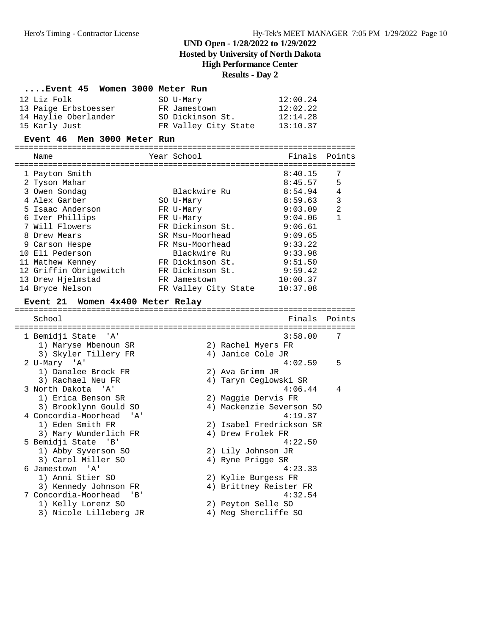**Hosted by University of North Dakota**

**High Performance Center**

## **Results - Day 2**

| Event 45 Women 3000 Meter Run                |                                            |          |                |
|----------------------------------------------|--------------------------------------------|----------|----------------|
| 12 Liz Folk                                  | SO U-Mary                                  | 12:00.24 |                |
| 13 Paige Erbstoesser                         | FR Jamestown                               | 12:02.22 |                |
| 14 Haylie Oberlander                         | SO Dickinson St.                           | 12:14.28 |                |
| 15 Karly Just                                | FR Valley City State                       | 13:10.37 |                |
| Men 3000 Meter Run<br><b>Event 46</b>        |                                            |          |                |
| Name                                         | Year School                                | Finals   | Points         |
|                                              |                                            |          |                |
| 1 Payton Smith                               |                                            | 8:40.15  | 7              |
| 2 Tyson Mahar                                |                                            | 8:45.57  | 5              |
| 3 Owen Sondag                                | Blackwire Ru                               | 8:54.94  | 4              |
| 4 Alex Garber                                | SO U-Mary                                  | 8:59.63  | $\mathbf{3}$   |
| 5 Isaac Anderson                             | FR U-Mary                                  | 9:03.09  | $\overline{a}$ |
| 6 Iver Phillips                              | FR U-Mary                                  | 9:04.06  | $\mathbf{1}$   |
| 7 Will Flowers                               | FR Dickinson St.                           | 9:06.61  |                |
| 8 Drew Mears                                 | SR Msu-Moorhead                            | 9:09.65  |                |
| 9 Carson Hespe                               | FR Msu-Moorhead                            | 9:33.22  |                |
| 10 Eli Pederson                              | Blackwire Ru                               | 9:33.98  |                |
| 11 Mathew Kenney                             | FR Dickinson St.                           | 9:51.50  |                |
| 12 Griffin Obrigewitch                       | FR Dickinson St.                           | 9:59.42  |                |
| 13 Drew Hjelmstad                            | FR Jamestown                               | 10:00.37 |                |
| 14 Bryce Nelson                              | FR Valley City State                       | 10:37.08 |                |
| Event 21 Women 4x400 Meter Relay             |                                            |          |                |
| School                                       |                                            | Finals   | Points         |
|                                              |                                            |          |                |
| 1 Bemidji State<br>'A'                       |                                            | 3:58.00  | 7              |
| 1) Maryse Mbenoun SR                         | 2) Rachel Myers FR                         |          |                |
| 3) Skyler Tillery FR                         | 4) Janice Cole JR                          |          |                |
| 2 U-Mary 'A'                                 |                                            | 4:02.59  | 5              |
| 1) Danalee Brock FR                          | 2) Ava Grimm JR                            |          |                |
| 3) Rachael Neu FR                            | 4) Taryn Ceglowski SR                      |          |                |
| 3 North Dakota<br>' A '                      |                                            | 4:06.44  | 4              |
| 1) Erica Benson SR                           | 2) Maggie Dervis FR                        |          |                |
| 3) Brooklynn Gould SO                        | 4) Mackenzie Severson SO                   |          |                |
| 4 Concordia-Moorhead<br>'A'                  |                                            | 4:19.37  |                |
| 1) Eden Smith FR                             | 2) Isabel Fredrickson SR                   |          |                |
| 3) Mary Wunderlich FR                        | 4) Drew Frolek FR                          |          |                |
| 5 Bemidji State 'B'                          |                                            | 4:22.50  |                |
| 1) Abby Syverson SO                          | 2) Lily Johnson JR                         |          |                |
| 3) Carol Miller SO                           | 4) Ryne Prigge SR                          |          |                |
| 6 Jamestown<br>'' A '                        |                                            | 4:23.33  |                |
| 1) Anni Stier SO                             |                                            |          |                |
|                                              | 2) Kylie Burgess FR                        |          |                |
| 3) Kennedy Johnson FR                        | 4) Brittney Reister FR                     |          |                |
| 7 Concordia-Moorhead<br>'B'                  |                                            | 4:32.54  |                |
| 1) Kelly Lorenz SO<br>3) Nicole Lilleberg JR | 2) Peyton Selle SO<br>4) Meg Shercliffe SO |          |                |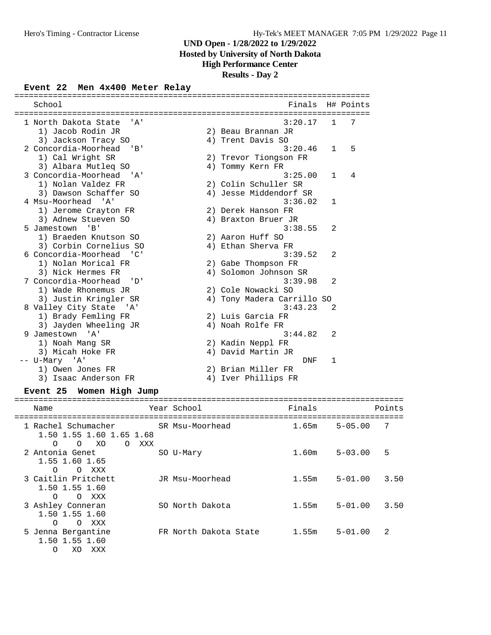**Hosted by University of North Dakota**

## **High Performance Center**

**Results - Day 2**

# **Event 22 Men 4x400 Meter Relay**

| School                                                                         |    | Finals                     |                | H# Points |
|--------------------------------------------------------------------------------|----|----------------------------|----------------|-----------|
|                                                                                |    |                            |                |           |
| 1 North Dakota State<br>' A '                                                  |    | 3:20.17                    | 1              | 7         |
| 1) Jacob Rodin JR                                                              |    | 2) Beau Brannan JR         |                |           |
| 3) Jackson Tracy SO                                                            |    | 4) Trent Davis SO          |                |           |
| 2 Concordia-Moorhead<br>' B '                                                  |    | 3:20.46                    | $\mathbf{1}$   | 5         |
| 1) Cal Wright SR                                                               |    | 2) Trevor Tiongson FR      |                |           |
| 3) Albara Mutleq SO                                                            |    | 4) Tommy Kern FR           |                |           |
| 3 Concordia-Moorhead<br>י ב <i>ו</i> י                                         |    | 3:25.00                    | $\mathbf{1}$   | 4         |
| 1) Nolan Valdez FR                                                             |    | 2) Colin Schuller SR       |                |           |
| 3) Dawson Schaffer SO                                                          |    | 4) Jesse Middendorf SR     |                |           |
| 4 Msu-Moorhead 'A'                                                             |    | 3:36.02                    | 1              |           |
| 1) Jerome Crayton FR                                                           |    | 2) Derek Hanson FR         |                |           |
| 3) Adnew Stueven SO                                                            |    | 4) Braxton Bruer JR        |                |           |
| 5 Jamestown<br>$'$ B $'$                                                       |    | 3:38.55                    | $\overline{a}$ |           |
| 1) Braeden Knutson SO                                                          |    | 2) Aaron Huff SO           |                |           |
| 3) Corbin Cornelius SO                                                         |    | 4) Ethan Sherva FR         |                |           |
| 6 Concordia-Moorhead<br>$\overline{\phantom{a}}$                               |    | 3:39.52                    | 2              |           |
| 1) Nolan Morical FR                                                            |    | 2) Gabe Thompson FR        |                |           |
| 3) Nick Hermes FR                                                              |    | 4) Solomon Johnson SR      |                |           |
| 7 Concordia-Moorhead<br>' D'                                                   |    | 3:39.98                    | 2              |           |
| 1) Wade Rhonemus JR                                                            |    | 2) Cole Nowacki SO         |                |           |
| 3) Justin Kringler SR                                                          |    | 4) Tony Madera Carrillo SO |                |           |
| 8 Valley City State<br>' A '                                                   |    | 3:43.23                    | 2              |           |
| 1) Brady Femling FR                                                            |    | 2) Luis Garcia FR          |                |           |
| 3) Jayden Wheeling JR                                                          |    | 4) Noah Rolfe FR           |                |           |
| 9 Jamestown<br>' A '                                                           |    | 3:44.82                    | 2              |           |
| 1) Noah Mang SR                                                                |    | 2) Kadin Neppl FR          |                |           |
| 3) Micah Hoke FR                                                               |    | 4) David Martin JR         |                |           |
| -- U-Mary 'A'                                                                  |    | <b>DNF</b>                 | 1              |           |
| 1) Owen Jones FR                                                               |    | 2) Brian Miller FR         |                |           |
| 3) Isaac Anderson FR                                                           | 4) | Iver Phillips FR           |                |           |
| $m_{\text{model}}$ OF $m_{\text{model}}$ $m_{\text{label}}$ $m_{\text{total}}$ |    |                            |                |           |

#### **Event 25 Women High Jump**

| Name                                                                                            | Year School           | Finals |             | Points         |
|-------------------------------------------------------------------------------------------------|-----------------------|--------|-------------|----------------|
| 1 Rachel Schumacher<br>1.50 1.55 1.60 1.65 1.68<br>XO<br>$\Omega$<br>$\Omega$<br>XXX<br>$\circ$ | SR Msu-Moorhead       | 1.65m  | $5 - 05.00$ | 7              |
| 2 Antonia Genet<br>1.55 1.60 1.65<br>$\Omega$<br>O XXX                                          | SO U-Mary             | 1.60m  | $5 - 03.00$ | 5              |
| 3 Caitlin Pritchett<br>1.50 1.55 1.60<br>O XXX<br>$\Omega$                                      | JR Msu-Moorhead       | 1.55m  | $5 - 01.00$ | 3.50           |
| 3 Ashley Conneran<br>1.50 1.55 1.60<br>$\Omega$<br>$\Omega$<br>XXX                              | SO North Dakota       | 1.55m  | $5 - 01.00$ | 3.50           |
| 5 Jenna Bergantine<br>1.50 1.55 1.60<br>$\Omega$<br>XO.<br>XXX                                  | FR North Dakota State | 1.55m  | $5 - 01.00$ | $\mathfrak{D}$ |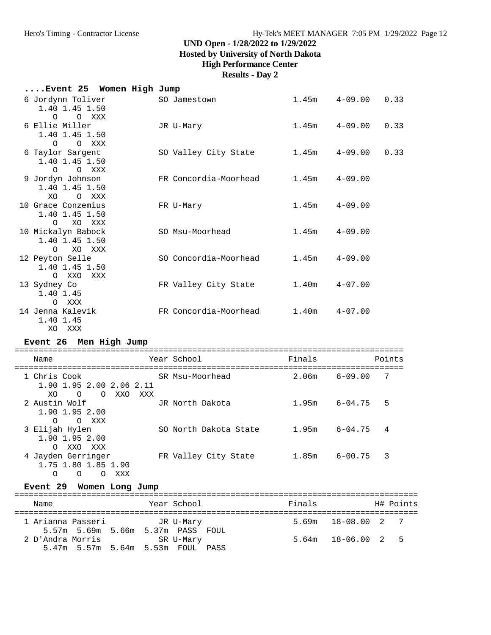**Hosted by University of North Dakota**

### **High Performance Center**

**Results - Day 2**

| Event 25 Women High Jump                                                       |                       |        |             |        |
|--------------------------------------------------------------------------------|-----------------------|--------|-------------|--------|
| 6 Jordynn Toliver<br>1.40 1.45 1.50<br>$\Omega$<br>O XXX                       | SO Jamestown          | 1.45m  | $4 - 09.00$ | 0.33   |
| 6 Ellie Miller<br>1.40 1.45 1.50<br>$\circ$<br>O XXX                           | JR U-Mary             | 1.45m  | $4 - 09.00$ | 0.33   |
| 6 Taylor Sargent<br>1.40 1.45 1.50                                             | SO Valley City State  | 1.45m  | $4 - 09.00$ | 0.33   |
| $\Omega$<br>O XXX<br>9 Jordyn Johnson<br>1.40 1.45 1.50<br>XO<br>O XXX         | FR Concordia-Moorhead | 1.45m  | $4 - 09.00$ |        |
| 10 Grace Conzemius<br>1.40 1.45 1.50<br>XO XXX<br>$\circ$                      | FR U-Mary             | 1.45m  | $4 - 09.00$ |        |
| 10 Mickalyn Babock<br>1.40 1.45 1.50<br>XO XXX<br>$\circ$                      | SO Msu-Moorhead       | 1.45m  | $4 - 09.00$ |        |
| 12 Peyton Selle<br>1.40 1.45 1.50<br>O XXO<br>XXX                              | SO Concordia-Moorhead | 1.45m  | $4 - 09.00$ |        |
| 13 Sydney Co<br>1.40 1.45<br>O XXX                                             | FR Valley City State  | 1.40m  | $4 - 07.00$ |        |
| 14 Jenna Kalevik<br>1.40 1.45<br>XO XXX                                        | FR Concordia-Moorhead | 1.40m  | $4 - 07.00$ |        |
| Event 26 Men High Jump                                                         |                       |        |             |        |
| Name                                                                           | Year School           | Finals |             | Points |
| 1 Chris Cook<br>1.90 1.95 2.00 2.06 2.11<br>XO.<br>$\overline{O}$<br>O XXO XXX | SR Msu-Moorhead       | 2.06m  | $6 - 09.00$ | 7      |
| 2 Austin Wolf<br>1.90 1.95 2.00<br>O XXX<br>$\circ$                            | JR North Dakota       | 1.95m  | $6 - 04.75$ | 5      |
| 3 Elijah Hylen<br>1.90 1.95 2.00                                               | SO North Dakota State | 1.95m  | $6 - 04.75$ | 4      |

O XXO XXX<br>4 Jayden Gerringer FR Valley City State 1.85m 6-00.75 3 1.75 1.80 1.85 1.90 O O O XXX

### **Event 29 Women Long Jump**

| Name              | Year School                                                                         | Finals | H# Points                |  |
|-------------------|-------------------------------------------------------------------------------------|--------|--------------------------|--|
| 1 Arianna Passeri | JR U-Mary                                                                           |        | $5.69m$ $18-08.00$ $2$ 7 |  |
| 2 D'Andra Morris  | 5.57m 5.69m 5.66m 5.37m PASS FOUL<br>SR U-Mary<br>5.47m 5.57m 5.64m 5.53m FOUL PASS |        | $5.64m$ $18-06.00$ 2 5   |  |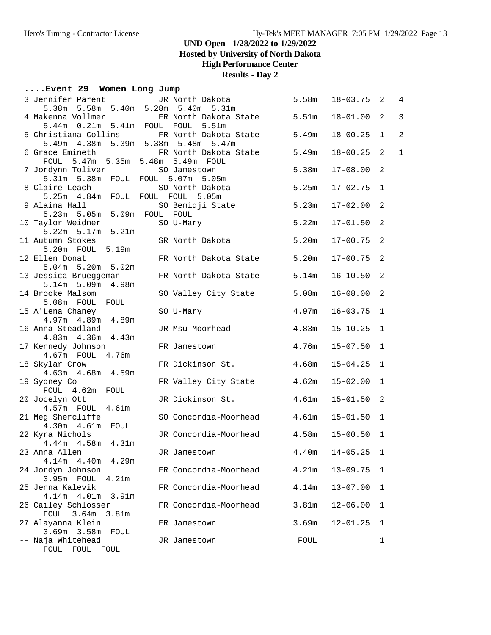**Hosted by University of North Dakota**

### **High Performance Center**

**Results - Day 2**

## **....Event 29 Women Long Jump**

| 3 Jennifer Parent                     | JR North Dakota                                    | 5.58m | $18 - 03.75$ 2 |              | $\overline{4}$ |
|---------------------------------------|----------------------------------------------------|-------|----------------|--------------|----------------|
|                                       | 5.38m 5.58m 5.40m 5.28m 5.40m 5.31m                |       |                |              |                |
|                                       | 4 Makenna Vollmer 6 FR North Dakota State<br>5.51m | 5.51m | $18 - 01.00$   | 2            | 3              |
| 5.44m  0.21m  5.41m  FOUL  FOUL       |                                                    | 5.49m | $18 - 00.25$   | $\mathbf{1}$ | $\overline{a}$ |
|                                       | 5 Christiana Collins FR North Dakota State         |       |                |              |                |
|                                       | 5.49m 4.38m 5.39m 5.38m 5.48m 5.47m                |       |                |              |                |
| 6 Grace Emineth                       | FR North Dakota State                              | 5.49m | $18 - 00.25$ 2 |              | $1\,$          |
| FOUL 5.47m 5.35m 5.48m 5.49m FOUL     |                                                    |       |                |              |                |
| 7 Jordynn Toliver                     | SO Jamestown                                       | 5.38m | $17 - 08.00$ 2 |              |                |
|                                       | 5.31m 5.38m FOUL FOUL 5.07m 5.05m                  |       |                |              |                |
| 8 Claire Leach                        | SO North Dakota                                    | 5.25m | $17 - 02.75$ 1 |              |                |
| 5.25m  4.84m  FOUL  FOUL  FOUL  5.05m |                                                    |       |                |              |                |
| 9 Alaina Hall                         | SO Bemidji State                                   | 5.23m | $17 - 02.00$ 2 |              |                |
| 5.23m 5.05m 5.09m FOUL FOUL           |                                                    |       |                |              |                |
| 10 Taylor Weidner                     | SO U-Mary                                          | 5.22m | $17 - 01.50$ 2 |              |                |
| 5.22m 5.17m 5.21m                     |                                                    |       |                |              |                |
| 11 Autumn Stokes                      | SR North Dakota                                    | 5.20m | 17-00.75       | 2            |                |
| 5.20m FOUL 5.19m                      |                                                    |       |                |              |                |
| 12 Ellen Donat                        | FR North Dakota State                              | 5.20m | $17 - 00.75$ 2 |              |                |
| 5.04m 5.20m 5.02m                     |                                                    |       |                |              |                |
| 13 Jessica Brueggeman                 | FR North Dakota State                              | 5.14m | $16 - 10.50$ 2 |              |                |
| 5.14m 5.09m 4.98m                     |                                                    |       |                |              |                |
|                                       |                                                    |       |                |              |                |
| 14 Brooke Malsom<br>5.08m FOUL FOUL   | SO Valley City State                               | 5.08m | $16 - 08.00$ 2 |              |                |
|                                       |                                                    |       |                |              |                |
| 15 A'Lena Chaney                      | SO U-Mary                                          | 4.97m | $16 - 03.75$ 1 |              |                |
| 4.97m  4.89m  4.89m                   |                                                    |       |                |              |                |
| 16 Anna Steadland                     | JR Msu-Moorhead                                    | 4.83m | $15 - 10.25$   | 1            |                |
| 4.83m  4.36m  4.43m                   |                                                    |       |                |              |                |
| 17 Kennedy Johnson                    | FR Jamestown                                       | 4.76m | $15 - 07.50$   | $\mathbf{1}$ |                |
| 4.67m FOUL 4.76m                      |                                                    |       |                |              |                |
| 18 Skylar Crow                        | FR Dickinson St.                                   | 4.68m | 15-04.25       | 1            |                |
| 4.63m  4.68m  4.59m                   |                                                    |       |                |              |                |
| 19 Sydney Co                          | FR Valley City State                               | 4.62m | $15 - 02.00$   | 1            |                |
| FOUL 4.62m FOUL                       |                                                    |       |                |              |                |
| 20 Jocelyn Ott                        | JR Dickinson St.                                   | 4.61m | $15 - 01.50$ 2 |              |                |
| 4.57m FOUL 4.61m                      |                                                    |       |                |              |                |
| 21 Meg Shercliffe                     | SO Concordia-Moorhead                              | 4.61m | $15 - 01.50$ 1 |              |                |
| 4.30m  4.61m  FOUL                    |                                                    |       |                |              |                |
| 22 Kyra Nichols                       | JR Concordia-Moorhead                              | 4.58m | $15 - 00.50$ 1 |              |                |
| $4.44m$ $4.58m$ $4.31m$               |                                                    |       |                |              |                |
| 23 Anna Allen                         | JR Jamestown                                       | 4.40m | $14 - 05.25$ 1 |              |                |
| 4.14m<br>4.40m<br>4.29m               |                                                    |       |                |              |                |
| 24 Jordyn Johnson                     | FR Concordia-Moorhead                              | 4.21m | $13 - 09.75$   | 1            |                |
| 3.95m FOUL<br>4.21m                   |                                                    |       |                |              |                |
| 25 Jenna Kalevik                      | FR Concordia-Moorhead                              | 4.14m | $13 - 07.00$   | 1            |                |
| 4.14m  4.01m  3.91m                   |                                                    |       |                |              |                |
| 26 Cailey Schlosser                   | FR Concordia-Moorhead                              | 3.81m | $12 - 06.00$   | 1            |                |
| 3.64m<br>3.81m<br>FOUL                |                                                    |       |                |              |                |
| 27 Alayanna Klein                     | FR Jamestown                                       | 3.69m | 12-01.25       | 1            |                |
|                                       |                                                    |       |                |              |                |
| $3.69m$ $3.58m$<br>FOUL               |                                                    |       |                |              |                |
| -- Naja Whitehead                     | JR Jamestown                                       | FOUL  |                | $\mathbf 1$  |                |
| FOUL FOUL<br>FOUL                     |                                                    |       |                |              |                |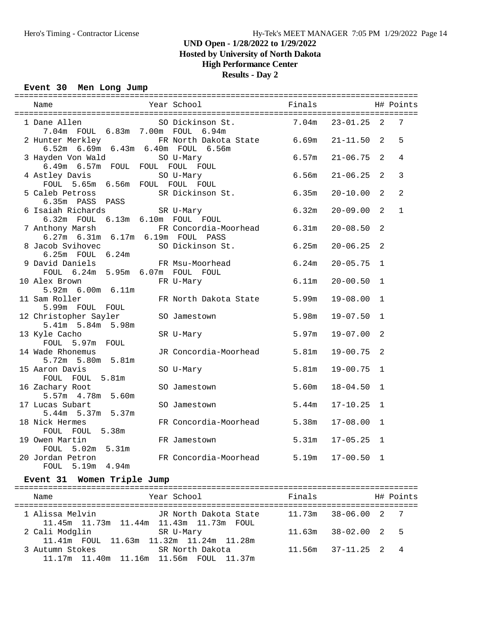### **UND Open - 1/28/2022 to 1/29/2022 Hosted by University of North Dakota**

# **High Performance Center**

**Results - Day 2**

#### **Event 30 Men Long Jump**

|                                                                |                                                       |       | H# Points    |              |              |
|----------------------------------------------------------------|-------------------------------------------------------|-------|--------------|--------------|--------------|
| 1 Dane Allen<br>7.04m FOUL 6.83m 7.00m FOUL 6.94m              | SO Dickinson St. 7.04m 23-01.25 2<br>7.00m FOUL 6.94m |       |              |              | 7            |
| 2 Hunter Merkley<br>6.52m 6.69m 6.43m 6.40m FOUL 6.56m         | FR North Dakota State 6.69m 21-11.50 2                |       |              |              | 5            |
| 3 Hayden Von Wald SO U-Mary<br>6.49m 6.57m FOUL FOUL FOUL FOUL |                                                       | 6.57m | $21 - 06.75$ | 2            | 4            |
| 4 Astley Davis<br>FOUL 5.65m 6.56m FOUL FOUL FOUL              | SO U-Mary                                             | 6.56m | $21 - 06.25$ | 2            | 3            |
| 5 Caleb Petross<br>6.35m PASS PASS                             | SR Dickinson St.                                      | 6.35m | $20 - 10.00$ | 2            | 2            |
| 6 Isaiah Richards<br>6.32m FOUL 6.13m 6.10m FOUL FOUL          | SR U-Mary                                             | 6.32m | $20 - 09.00$ | 2            | $\mathbf{1}$ |
| 7 Anthony Marsh<br>6.27m 6.31m 6.17m 6.19m FOUL PASS           | FR Concordia-Moorhead 6.31m                           |       | $20 - 08.50$ | 2            |              |
| 8 Jacob Svihovec 50 Dickinson St. 6.25m<br>6.25m  FOUL  6.24m  |                                                       |       | $20 - 06.25$ | 2            |              |
| 9 David Daniels<br>FOUL 6.24m 5.95m 6.07m FOUL FOUL            | FR Msu-Moorhead                                       | 6.24m | $20 - 05.75$ | $\mathbf{1}$ |              |
| 10 Alex Brown<br>5.92m 6.00m 6.11m                             | FR U-Mary                                             | 6.11m | $20 - 00.50$ | $\mathbf{1}$ |              |
| 11 Sam Roller<br>5.99m FOUL FOUL                               | FR North Dakota State 5.99m                           |       | 19-08.00     | 1            |              |
| 12 Christopher Sayler SO Jamestown<br>5.41m 5.84m 5.98m        |                                                       | 5.98m | $19 - 07.50$ | $\mathbf{1}$ |              |
| 13 Kyle Cacho<br>FOUL 5.97m FOUL                               | SR U-Mary                                             | 5.97m | 19-07.00     | 2            |              |
| 14 Wade Rhonemus<br>5.72m 5.80m 5.81m                          | JR Concordia-Moorhead 5.81m                           |       | 19-00.75     | 2            |              |
| 15 Aaron Davis<br>FOUL FOUL 5.81m                              | SO U-Mary                                             | 5.81m | 19-00.75     | $\mathbf{1}$ |              |
| 16 Zachary Root<br>5.57m  4.78m  5.60m                         | SO Jamestown                                          | 5.60m | 18-04.50     | $\mathbf{1}$ |              |
| 17 Lucas Subart<br>5.44m 5.37m 5.37m                           | SO Jamestown                                          | 5.44m | $17 - 10.25$ | $\mathbf{1}$ |              |
| 18 Nick Hermes<br>FOUL FOUL 5.38m                              | FR Concordia-Moorhead 5.38m                           |       | 17-08.00     | $\mathbf{1}$ |              |
| 19 Owen Martin<br>FOUL 5.02m 5.31m                             | FR Jamestown                                          | 5.31m | $17 - 05.25$ | $\mathbf{1}$ |              |
| 20 Jordan Petron<br>FOUL 5.19m 4.94m                           | FR Concordia-Moorhead 5.19m                           |       | $17 - 00.50$ | 1            |              |

### **Event 31 Women Triple Jump**

| Name                                                       | Year School           | Finals                  | H# Points |
|------------------------------------------------------------|-----------------------|-------------------------|-----------|
| 1 Alissa Melvin<br>11.45m 11.73m 11.44m 11.43m 11.73m FOUL | JR North Dakota State | $11.73m$ $38-06.00$ 2 7 |           |
| 2 Cali Modglin<br>11.41m FOUL 11.63m 11.32m 11.24m 11.28m  | SR U-Mary             | 38-02.00 2 5<br>11.63m  |           |
| 3 Autumn Stokes<br>11.17m 11.40m 11.16m 11.56m FOUL 11.37m | SR North Dakota       | $11.56m$ $37-11.25$ 2 4 |           |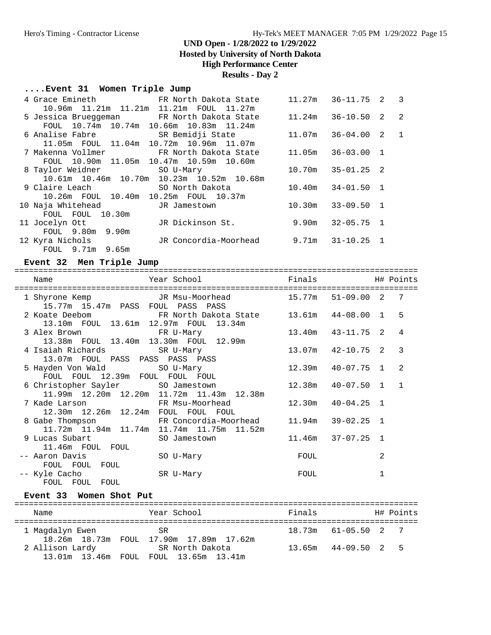**Hosted by University of North Dakota**

## **High Performance Center**

### **Results - Day 2**

### **....Event 31 Women Triple Jump**

| 4 Grace Emineth               FR North Dakota State    |                                                | 11.27m | $36 - 11.75$ 2 3      |  |
|--------------------------------------------------------|------------------------------------------------|--------|-----------------------|--|
| 10.96m 11.21m 11.21m 11.21m FOUL 11.27m                |                                                |        |                       |  |
| 5 Jessica Brueggeman FR North Dakota State             |                                                | 11.24m | $36 - 10.50$ 2 2      |  |
| FOUL 10.74m 10.74m 10.66m 10.83m 11.24m                |                                                |        |                       |  |
| 6 Analise Fabre                       SR Bemidji State |                                                |        | 11.07m 36-04.00 2 1   |  |
| 11.05m FOUL 11.04m 10.72m 10.96m 11.07m                |                                                |        |                       |  |
| 7 Makenna Vollmer                                      | FR North Dakota State                          |        | 11.05m 36-03.00 1     |  |
| FOUL 10.90m 11.05m 10.47m 10.59m 10.60m                |                                                |        |                       |  |
| 8 Taylor Weidner SO U-Mary                             |                                                |        | $10.70m$ $35-01.25$ 2 |  |
|                                                        | 10.61m  10.46m  10.70m  10.23m  10.52m  10.68m |        |                       |  |
| 9 Claire Leach Dealers (1986)                          | SO North Dakota                                |        | $10.40m$ $34-01.50$ 1 |  |
| 10.26m FOUL 10.40m 10.25m FOUL 10.37m                  |                                                |        |                       |  |
| 10 Naja Whitehead                     JR Jamestown     |                                                | 10.30m | $33 - 09.50$ 1        |  |
| FOUL FOUL 10.30m                                       |                                                |        |                       |  |
| 11 Jocelyn Ott                                         | JR Dickinson St.                               | 9.90m  | $32 - 05.75$ 1        |  |
| FOUL 9.80m 9.90m                                       |                                                |        |                       |  |
| 12 Kyra Nichols                                        | JR Concordia-Moorhead                          | 9.71m  | $31 - 10.25$ 1        |  |
| FOUL 9.71m 9.65m                                       |                                                |        |                       |  |

### **Event 32 Men Triple Jump**

| Name<br>=================================                                      | <b>Example 1</b> Finals<br>Year School<br>==================== |                     |            |                | H# Points      |
|--------------------------------------------------------------------------------|----------------------------------------------------------------|---------------------|------------|----------------|----------------|
| 1 Shyrone Kemp<br>15.77m 15.47m PASS FOUL PASS PASS                            | JR Msu-Moorhead                                                | 15.77m 51-09.00 2   |            |                | 7              |
| 2 Koate Deebom<br>13.10m FOUL 13.61m 12.97m FOUL 13.34m                        | FR North Dakota State $13.61$ m $44-08.00$                     |                     |            | $\mathbf{1}$   | 5              |
| 3 Alex Brown<br>FR U-Mary<br>13.38m FOUL 13.40m 13.30m FOUL 12.99m             |                                                                | $13.40m$ $43-11.75$ |            | $\mathcal{L}$  | 4              |
| 4 Isaiah Richards<br>13.07m FOUL PASS PASS PASS PASS                           | SR U-Mary                                                      | $13.07m$ $42-10.75$ |            | $\mathcal{L}$  | $\mathcal{R}$  |
| 5 Hayden Von Wald SO U-Mary<br>FOUL FOUL 12.39m FOUL FOUL FOUL                 |                                                                | 12.39m              | 40-07.75   | $\mathbf{1}$   | $\mathfrak{D}$ |
| 6 Christopher Sayler SO Jamestown<br>11.99m 12.20m 12.20m 11.72m 11.43m 12.38m |                                                                | 12.38m              | 40-07.50   | $\mathbf{1}$   | $\overline{1}$ |
| 7 Kade Larson<br>12.30m  12.26m  12.24m  FOUL  FOUL  FOUL                      | FR Msu-Moorhead                                                | 12.30m              | 40-04.25 1 |                |                |
| 11.72m  11.94m  11.74m  11.74m  11.75m  11.52m                                 | 8 Gabe Thompson FR Concordia-Moorhead 11.94m 39-02.25 1        |                     |            |                |                |
| 9 Lucas Subart<br>11.46m FOUL FOUL                                             | SO Jamestown                                                   | $11.46m$ $37-07.25$ |            | $\overline{1}$ |                |
| -- Aaron Davis<br>FOUL FOUL FOUL                                               | SO U-Mary                                                      | FOUL                |            | 2              |                |
| -- Kyle Cacho<br>FOUL FOUL<br>FOUL                                             | SR U-Mary                                                      | FOUL                |            | 1              |                |

### **Event 33 Women Shot Put**

| Name            | Year School                                              | Finals                  | H# Points |
|-----------------|----------------------------------------------------------|-------------------------|-----------|
| 1 Maqdalyn Ewen | SR<br>18.26m 18.73m FOUL 17.90m 17.89m 17.62m            | $18.73m$ $61-05.50$ 2 7 |           |
| 2 Allison Lardy | SR North Dakota<br>13.01m 13.46m FOUL FOUL 13.65m 13.41m | $13.65m$ $44-09.50$ 2 5 |           |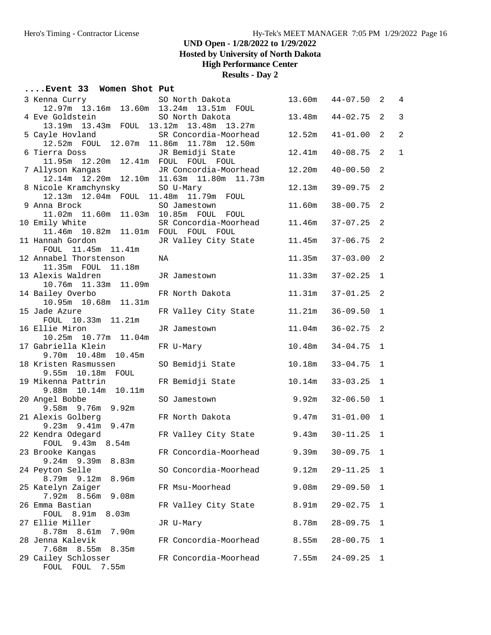**Hosted by University of North Dakota**

### **High Performance Center**

**Results - Day 2**

### **....Event 33 Women Shot Put**

| 3 Kenna Curry 50 North Dakota<br>12.97m 13.16m 13.60m 13.24m 13.51m FOUL            |                       | 13.60m | $44 - 07.50$ 2 |                            | $\overline{4}$ |
|-------------------------------------------------------------------------------------|-----------------------|--------|----------------|----------------------------|----------------|
|                                                                                     |                       |        |                |                            |                |
| 4 Eve Goldstein                                                                     | SO North Dakota       | 13.48m | $44 - 02.75$   | 2                          | 3              |
| 13.19m  13.43m  FOUL  13.12m  13.48m  13.27m                                        |                       |        |                |                            |                |
| 5 Cayle Hovland SR Concordia-Moorhead                                               |                       | 12.52m | $41 - 01.00$   | 2                          | $\overline{2}$ |
| 12.52m FOUL 12.07m 11.86m 11.78m 12.50m                                             |                       |        |                |                            |                |
| 6 Tierra Doss JR Bemidji State<br>11.95m 12.20m 12.41m FOUL FOUL FOUL               |                       | 12.41m | $40 - 08.75$   | 2                          | $\mathbf 1$    |
|                                                                                     |                       |        |                |                            |                |
| 7 Allyson Kangas JR Concordia-Moorhead<br>12.14m 12.20m 12.10m 11.63m 11.80m 11.73m | JR Concordia-Moorhead | 12.20m | 40-00.50       | 2                          |                |
|                                                                                     |                       |        |                |                            |                |
| 8 Nicole Kramchynsky                                                                | SO U-Mary             | 12.13m | $39 - 09.75$ 2 |                            |                |
| 12.13m  12.04m  FOUL  11.48m  11.79m  FOUL<br>9 Anna Brock                          |                       |        |                | $\overline{\phantom{0}}^2$ |                |
| 11.02m  11.60m  11.03m  10.85m  FOUL  FOUL                                          | SO Jamestown          | 11.60m | $38 - 00.75$   |                            |                |
| 10 Emily White                                                                      | SR Concordia-Moorhead | 11.46m | $37 - 07.25$ 2 |                            |                |
| 11.46m  10.82m  11.01m  FOUL  FOUL  FOUL                                            |                       |        |                |                            |                |
| 11 Hannah Gordon                                                                    | JR Valley City State  | 11.45m | $37 - 06.75$   | 2                          |                |
| FOUL 11.45m 11.41m                                                                  |                       |        |                |                            |                |
| 12 Annabel Thorstenson                                                              | NA                    | 11.35m | 37-03.00       | 2                          |                |
| 11.35m FOUL 11.18m                                                                  |                       |        |                |                            |                |
| 13 Alexis Waldren                                                                   | JR Jamestown          | 11.33m | 37-02.25       | $\mathbf 1$                |                |
| 10.76m  11.33m  11.09m                                                              |                       |        |                |                            |                |
| 14 Bailey Overbo                                                                    | FR North Dakota       | 11.31m | $37 - 01.25$ 2 |                            |                |
| 10.95m  10.68m  11.31m                                                              |                       |        |                |                            |                |
| 15 Jade Azure                                                                       | FR Valley City State  | 11.21m | $36 - 09.50$   | $\overline{1}$             |                |
| FOUL 10.33m 11.21m                                                                  |                       |        |                |                            |                |
| 16 Ellie Miron                                                                      | JR Jamestown          | 11.04m | $36 - 02.75$ 2 |                            |                |
| 10.25m  10.77m  11.04m                                                              |                       |        |                | $\mathbf{1}$               |                |
| 17 Gabriella Klein<br>9.70m  10.48m  10.45m                                         | FR U-Mary             | 10.48m | $34 - 04.75$   |                            |                |
| 18 Kristen Rasmussen                                                                | SO Bemidji State      | 10.18m | $33 - 04.75$   | $\mathbf{1}$               |                |
| 9.55m 10.18m FOUL                                                                   |                       |        |                |                            |                |
| 19 Mikenna Pattrin                                                                  | FR Bemidji State      | 10.14m | $33 - 03.25$   | $\mathbf{1}$               |                |
| 9.88m 10.14m 10.11m                                                                 |                       |        |                |                            |                |
| 20 Angel Bobbe                                                                      | SO Jamestown          | 9.92m  | $32 - 06.50$   | $\mathbf{1}$               |                |
| 9.58m 9.76m 9.92m                                                                   |                       |        |                |                            |                |
| 21 Alexis Golberg                                                                   | FR North Dakota       | 9.47m  | $31 - 01.00$ 1 |                            |                |
| 9.23m 9.41m 9.47m                                                                   |                       |        |                |                            |                |
| 22 Kendra Odegard                                                                   | FR Valley City State  | 9.43m  | $30 - 11.25$   | 1                          |                |
| FOUL 9.43m 8.54m                                                                    |                       |        |                |                            |                |
| 23 Brooke Kangas                                                                    | FR Concordia-Moorhead | 9.39m  | $30 - 09.75$   | $\mathbf{1}$               |                |
| $9.24m$ 9.39m<br>8.83m                                                              | SO Concordia-Moorhead |        |                |                            |                |
| 24 Peyton Selle<br>8.79m 9.12m<br>8.96m                                             |                       | 9.12m  | $29 - 11.25$   | 1                          |                |
| 25 Katelyn Zaiger                                                                   | FR Msu-Moorhead       | 9.08m  | $29 - 09.50$   | 1                          |                |
| 7.92m 8.56m<br>9.08m                                                                |                       |        |                |                            |                |
| 26 Emma Bastian                                                                     | FR Valley City State  | 8.91m  | $29 - 02.75$   | 1                          |                |
| FOUL 8.91m<br>8.03m                                                                 |                       |        |                |                            |                |
| 27 Ellie Miller                                                                     | JR U-Mary             | 8.78m  | $28 - 09.75$   | 1                          |                |
| 8.78m 8.61m<br>7.90m                                                                |                       |        |                |                            |                |
| 28 Jenna Kalevik                                                                    | FR Concordia-Moorhead | 8.55m  | $28 - 00.75$   | 1                          |                |
| 7.68m 8.55m 8.35m                                                                   |                       |        |                |                            |                |
| 29 Cailey Schlosser                                                                 | FR Concordia-Moorhead | 7.55m  | $24 - 09.25$   | 1                          |                |
| FOUL FOUL 7.55m                                                                     |                       |        |                |                            |                |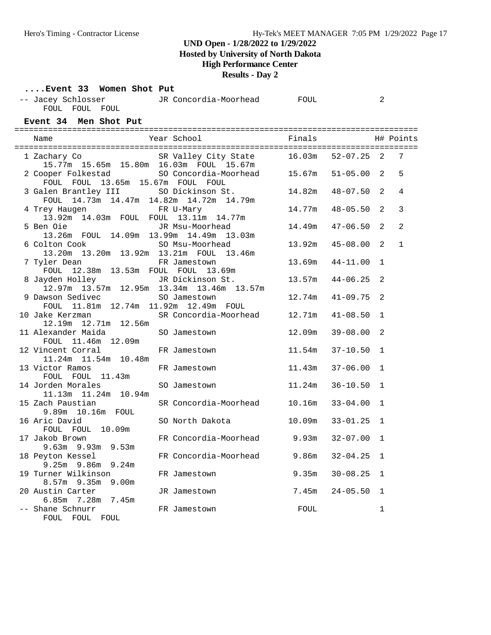**Hosted by University of North Dakota**

### **High Performance Center**

**Results - Day 2**

#### **....Event 33 Women Shot Put**

| -- Jacey Schlosser | JR Concordia-Moorhead | FOUL |  |
|--------------------|-----------------------|------|--|
| FOUL FOUL FOUL     |                       |      |  |

### **Event 34 Men Shot Put**

| Name                                                                             | Year School                              | Finals           |                              |                              | H# Points      |
|----------------------------------------------------------------------------------|------------------------------------------|------------------|------------------------------|------------------------------|----------------|
| 1 Zachary Co<br>15.77m  15.65m  15.80m  16.03m  FOUL  15.67m                     | SR Valley City State 16.03m              |                  | $52 - 07.25$ 2               |                              | 7              |
| 2 Cooper Folkestad<br>FOUL FOUL 13.65m 15.67m FOUL FOUL                          | SO Concordia-Moorhead 15.67m             |                  | $51 - 05.00$                 | 2                            | 5              |
| 3 Galen Brantley III SO Dickinson St.<br>FOUL 14.73m 14.47m 14.82m 14.72m 14.79m |                                          | 14.82m           | $48 - 07.50$                 | 2                            | $\overline{4}$ |
| 4 Trey Haugen<br>13.92m  14.03m  FOUL  FOUL  13.11m  14.77m                      | FR U-Mary                                | 14.77m           | $48 - 05.50$                 | $\mathfrak{D}$               | 3              |
| 5 Ben Oie<br>13.26m FOUL 14.09m 13.99m 14.49m 13.03m                             | JR Msu-Moorhead                          | 14.49m           | $47 - 06.50$                 | 2                            | 2              |
| 6 Colton Cook<br>13.20m  13.20m  13.92m  13.21m  FOUL  13.46m                    | SO Msu-Moorhead                          | 13.92m           | $45 - 08.00$                 | 2                            | $\mathbf{1}$   |
| 7 Tyler Dean<br>FOUL 12.38m 13.53m FOUL FOUL 13.69m                              | FR Jamestown                             | 13.69m           | $44 - 11.00$                 | $\mathbf{1}$                 |                |
| 8 Jayden Holley<br>12.97m 13.57m 12.95m 13.34m 13.46m 13.57m                     | JR Dickinson St.                         | 13.57m           | $44 - 06.25$                 | 2                            |                |
| 9 Dawson Sedivec<br>FOUL 11.81m 12.74m 11.92m 12.49m FOUL                        | SO Jamestown                             | 12.74m           | $41 - 09.75$                 | 2                            |                |
| 10 Jake Kerzman<br>12.19m  12.71m  12.56m                                        | SR Concordia-Moorhead 12.71m             |                  | $41 - 08.50$                 | $\mathbf{1}$                 |                |
| 11 Alexander Maida<br>FOUL 11.46m 12.09m                                         | SO Jamestown                             | 12.09m           | $39 - 08.00$                 | 2                            |                |
| 12 Vincent Corral<br>11.24m  11.54m  10.48m                                      | FR Jamestown                             | 11.54m           | $37 - 10.50$                 | $\mathbf{1}$                 |                |
| 13 Victor Ramos<br>FOUL FOUL 11.43m                                              | FR Jamestown                             | 11.43m           | $37 - 06.00$                 | $\mathbf{1}$                 |                |
| 14 Jorden Morales<br>11.13m  11.24m  10.94m                                      | SO Jamestown                             | 11.24m           | $36 - 10.50$                 | $\mathbf{1}$                 |                |
| 15 Zach Paustian<br>9.89m 10.16m FOUL<br>16 Aric David                           | SR Concordia-Moorhead<br>SO North Dakota | 10.16m<br>10.09m | $33 - 04.00$<br>$33 - 01.25$ | $\mathbf{1}$<br>$\mathbf{1}$ |                |
| FOUL FOUL 10.09m<br>17 Jakob Brown                                               | FR Concordia-Moorhead                    | 9.93m            | $32 - 07.00$                 | $\mathbf{1}$                 |                |
| $9.63m$ $9.93m$ $9.53m$<br>18 Peyton Kessel                                      | FR Concordia-Moorhead                    | 9.86m            | $32 - 04.25$                 | 1                            |                |
| 9.25m 9.86m 9.24m<br>19 Turner Wilkinson                                         | FR Jamestown                             | 9.35m            | $30 - 08.25$                 | $\mathbf{1}$                 |                |
| $8.57m$ 9.35 $m$ 9.00 $m$<br>20 Austin Carter                                    | JR Jamestown                             | 7.45m            | $24 - 05.50$                 | $\mathbf 1$                  |                |
| $6.85m$ $7.28m$ $7.45m$<br>-- Shane Schnurr<br>FOUL FOUL FOUL                    | FR Jamestown                             | FOUL             |                              | 1                            |                |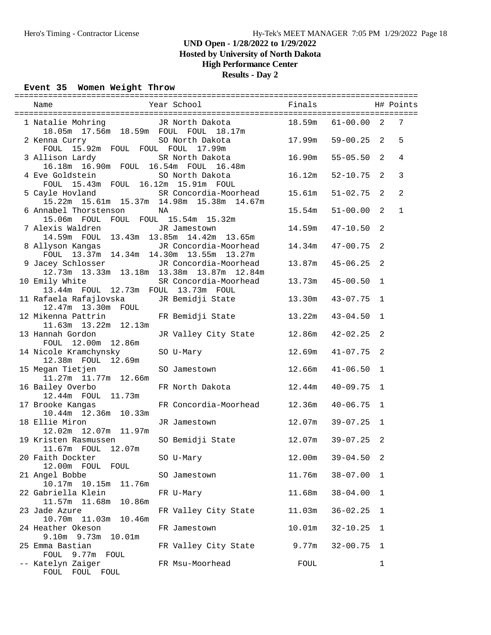**Hosted by University of North Dakota**

## **High Performance Center**

**Results - Day 2**

#### **Event 35 Women Weight Throw**

| 18.05m  17.56m  18.59m  FOUL  FOUL  18.17m                                      | 1 Natalie Mohring TR North Dakota 18.59m 61-00.00 2                                                       |                  |              |                | $7\phantom{.0}$ |
|---------------------------------------------------------------------------------|-----------------------------------------------------------------------------------------------------------|------------------|--------------|----------------|-----------------|
| 2 Kenna Curry<br>FOUL 15.92m FOUL FOUL FOUL 17.99m                              |                                                                                                           | 17.99m  59-00.25 |              | 2              | 5               |
| 16.18m  16.90m  FOUL  16.54m  FOUL  16.48m                                      | 3 Allison Lardy SR North Dakota 16.90m                                                                    |                  | $55 - 05.50$ | 2              | $\overline{4}$  |
| 4 Eve Goldstein<br>FOUL 15.43m FOUL 16.12m 15.91m FOUL                          | SO North Dakota<br>16.12m                                                                                 |                  | $52 - 10.75$ | 2              | 3               |
|                                                                                 | 5 Cayle Hovland SR Concordia-Moorhead 15.61m<br>15.22m  15.61m  15.37m  14.98m  15.38m  14.67m            |                  | $51 - 02.75$ | 2              | 2               |
| 6 Annabel Thorstenson<br>15.06m FOUL FOUL FOUL 15.54m 15.32m                    | NA                                                                                                        | 15.54m           | $51 - 00.00$ | $\overline{2}$ | $\mathbf{1}$    |
| 7 Alexis Waldren Manuel JR Jamestown<br>14.59m FOUL 13.43m 13.85m 14.42m 13.65m |                                                                                                           | 14.59m           | $47 - 10.50$ | 2              |                 |
|                                                                                 |                                                                                                           |                  | $47 - 00.75$ | 2              |                 |
|                                                                                 | 9 Jacey Schlosser JR Concordia-Moorhead 13.87m 45-06.25<br>12.73m  13.33m  13.18m  13.38m  13.87m  12.84m |                  |              | 2              |                 |
| 10 Emily White<br>13.44m FOUL 12.73m FOUL 13.73m FOUL                           | SR Concordia-Moorhead 13.73m 45-00.50                                                                     |                  |              | 1              |                 |
|                                                                                 | 12.47m 13.30m FOUL<br>12 Mikenna Pattrin FR Bemidji State 13.22m                                          |                  | 43-07.75     | 1              |                 |
| 11.63m  13.22m  12.13m                                                          |                                                                                                           |                  | $43 - 04.50$ | 1              |                 |
| 13 Hannah Gordon<br>FOUL 12.00m 12.86m                                          | JR Valley City State 12.86m                                                                               |                  | 42-02.25     | 2              |                 |
| 14 Nicole Kramchynsky SO U-Mary<br>12.38m FOUL 12.69m                           |                                                                                                           | 12.69m           | $41 - 07.75$ | 2              |                 |
| 15 Megan Tietjen<br>11.27m  11.77m  12.66m                                      | SO Jamestown 12.66m                                                                                       |                  | $41 - 06.50$ | $\mathbf{1}$   |                 |
| 16 Bailey Overbo<br>12.44m  FOUL  11.73m                                        | FR North Dakota 12.44m                                                                                    |                  | $40 - 09.75$ | 1              |                 |
| 17 Brooke Kangas<br>10.44m  12.36m  10.33m                                      | FR Concordia-Moorhead 12.36m                                                                              |                  | 40-06.75     | $\mathbf{1}$   |                 |
| 18 Ellie Miron<br>12.02m  12.07m  11.97m                                        | JR Jamestown                                                                                              | 12.07m           | 39-07.25     | $\mathbf 1$    |                 |
| 19 Kristen Rasmussen<br>11.67m FOUL 12.07m                                      | SO Bemidji State 12.07m                                                                                   |                  | 39-07.25     | 2              |                 |
| 20 Faith Dockter<br>12.00m FOUL<br>FOUL                                         | SO U-Mary                                                                                                 | 12.00m           | $39 - 04.50$ | 2              |                 |
| 21 Angel Bobbe<br>10.17m  10.15m<br>11.76m                                      | SO Jamestown                                                                                              | 11.76m           | $38 - 07.00$ | 1              |                 |
| 22 Gabriella Klein<br>11.57m 11.68m<br>10.86m                                   | FR U-Mary                                                                                                 | 11.68m           | $38 - 04.00$ | 1              |                 |
| 23 Jade Azure<br>10.70m  11.03m<br>10.46m                                       | FR Valley City State                                                                                      | 11.03m           | $36 - 02.25$ | 1              |                 |
| 24 Heather Okeson<br>$9.10m$ $9.73m$<br>10.01m                                  | FR Jamestown                                                                                              | 10.01m           | $32 - 10.25$ | 1              |                 |
| 25 Emma Bastian<br>FOUL<br>9.77m<br>FOUL                                        | FR Valley City State                                                                                      | 9.77m            | $32 - 00.75$ | 1              |                 |
| -- Katelyn Zaiger<br>FOUL FOUL FOUL                                             | FR Msu-Moorhead                                                                                           | FOUL             |              | $\mathbf 1$    |                 |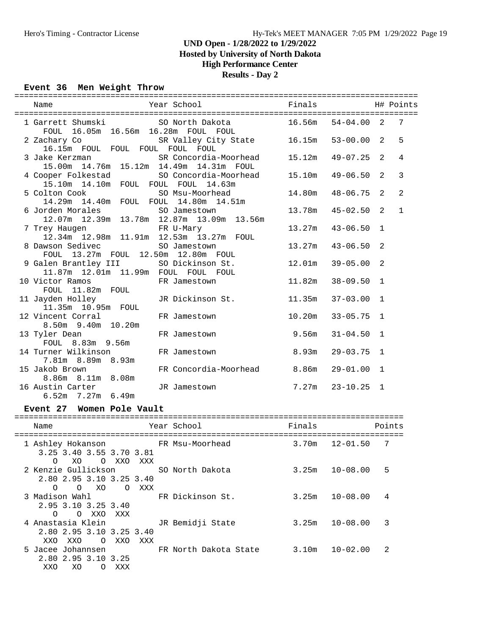**Hosted by University of North Dakota**

## **High Performance Center**

### **Results - Day 2**

### **Event 36 Men Weight Throw**

| Name                                                                               | Year School                      | Finals                               | H# Points                    |                   |              |  |  |
|------------------------------------------------------------------------------------|----------------------------------|--------------------------------------|------------------------------|-------------------|--------------|--|--|
| 1 Garrett Shumski SO North Dakota 16.56m<br>FOUL 16.05m 16.56m 16.28m FOUL FOUL    |                                  |                                      | $54 - 04.00$                 | 2                 | 7            |  |  |
| 2 Zachary Co<br>16.15m FOUL FOUL FOUL FOUL FOUL                                    |                                  | SR Valley City State 16.15m 53-00.00 |                              | $\overline{2}$    | 5            |  |  |
| 3 Jake Kerzman<br>15.00m  14.76m  15.12m  14.49m  14.31m  FOUL                     |                                  | SR Concordia-Moorhead 15.12m         | 49-07.25                     | $\overline{2}$    | 4            |  |  |
| 4 Cooper Folkestad<br>15.10m  14.10m  FOUL  FOUL  FOUL  14.63m                     |                                  | SO Concordia-Moorhead 15.10m         | $49 - 06.50$                 | 2                 | 3            |  |  |
| 5 Colton Cook<br>14.29m  14.40m  FOUL  FOUL  14.80m  14.51m                        | SO Msu-Moorhead                  | 14.80m                               | 48-06.75                     | 2                 | 2            |  |  |
| 6 Jorden Morales<br>12.07m  12.39m  13.78m  12.87m  13.09m  13.56m                 | SO Jamestown                     | 13.78m                               | $45 - 02.50$                 | 2                 | $\mathbf{1}$ |  |  |
| 7 Trey Haugen<br>12.34m 12.98m 11.91m 12.53m 13.27m FOUL                           |                                  | 13.27m                               | $43 - 06.50$                 | $\mathbf{1}$      |              |  |  |
| 8 Dawson Sedivec SO Jamestown<br>FOUL 13.27m FOUL 12.50m 12.80m FOUL               |                                  | 13.27m                               | $43 - 06.50$                 | 2                 |              |  |  |
| 9 Galen Brantley III SO Dickinson St.<br>11.87m  12.01m  11.99m  FOUL  FOUL  FOUL  |                                  | 12.01m                               | 39-05.00                     | 2                 |              |  |  |
| 10 Victor Ramos<br>FOUL 11.82m FOUL                                                | FR Jamestown                     | 11.82m                               | $38 - 09.50$                 | $\mathbf{1}$      |              |  |  |
| 11 Jayden Holley<br>11.35m 10.95m FOUL<br>12 Vincent Corral                        | JR Dickinson St.<br>FR Jamestown | 11.35m<br>10.20m                     | $37 - 03.00$<br>$33 - 05.75$ | $\mathbf{1}$<br>1 |              |  |  |
| 8.50m 9.40m 10.20m<br>13 Tyler Dean                                                | FR Jamestown                     | 9.56m                                | $31 - 04.50$                 | $\mathbf{1}$      |              |  |  |
| FOUL 8.83m 9.56m                                                                   | FR Jamestown                     | 8.93m                                | $29 - 03.75$                 | $\mathbf{1}$      |              |  |  |
| 14 Turner Wilkinson<br>7.81m 8.89m 8.93m<br>15 Jakob Brown                         | FR Concordia-Moorhead            | 8.86m                                | 29-01.00                     | 1                 |              |  |  |
| 8.86m 8.11m 8.08m<br>16 Austin Carter                                              | JR Jamestown                     | 7.27m                                | 23-10.25                     | 1                 |              |  |  |
| 6.52m 7.27m 6.49m                                                                  |                                  |                                      |                              |                   |              |  |  |
| Event 27 Women Pole Vault                                                          |                                  |                                      |                              |                   |              |  |  |
| Name                                                                               | Year School                      | Finals                               |                              |                   | Points       |  |  |
| 1 Ashley Hokanson FR Msu-Moorhead<br>3.25 3.40 3.55 3.70 3.81<br>O XO<br>O XXO XXX |                                  |                                      | $3.70m$ $12-01.50$ 7         |                   |              |  |  |
| 2 Kenzie Gullickson<br>2.80 2.95 3.10 3.25 3.40                                    | SO North Dakota                  |                                      | $3.25m$ $10-08.00$           | 5                 |              |  |  |
| O XXX<br>$\circ$<br>O XO<br>3 Madison Wahl<br>2.95 3.10 3.25 3.40                  | FR Dickinson St.                 | 3.25m                                | $10 - 08.00$                 | 4                 |              |  |  |
| O O XXO XXX<br>4 Anastasia Klein<br>2.80 2.95 3.10 3.25 3.40                       | JR Bemidji State                 | 3.25m                                | $10 - 08.00$                 | 3                 |              |  |  |
| XXO XXO<br>O XXO<br>XXX<br>5 Jacee Johannsen<br>2.80 2.95 3.10 3.25                | FR North Dakota State            | 3.10m                                | $10 - 02.00$                 | 2                 |              |  |  |

XXO XO O XXX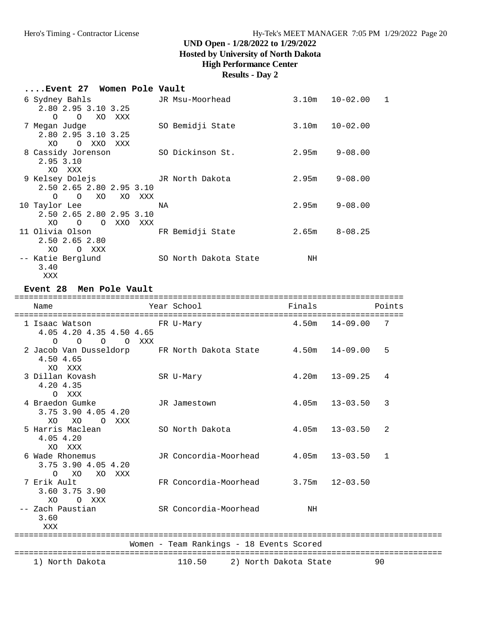**Hosted by University of North Dakota**

### **High Performance Center**

### **Results - Day 2**

| Event 27 Women Pole Vault |  |  |  |  |
|---------------------------|--|--|--|--|
|---------------------------|--|--|--|--|

| 6 Sydney Bahls           | JR Msu-Moorhead       | 3.10m | $10 - 02.00$<br>$\mathbf{1}$ |
|--------------------------|-----------------------|-------|------------------------------|
| 2.80 2.95 3.10 3.25      |                       |       |                              |
| O O XO XXX               |                       |       |                              |
| 7 Megan Judge            | SO Bemidji State      |       | $3.10m$ $10-02.00$           |
| 2.80 2.95 3.10 3.25      |                       |       |                              |
| O XXO<br>XO<br>XXX       |                       |       |                              |
| 8 Cassidy Jorenson       | SO Dickinson St.      | 2.95m | 9-08.00                      |
| 2.95 3.10                |                       |       |                              |
| XO XXX                   |                       |       |                              |
|                          |                       | 2.95m | $9 - 08.00$                  |
| 2.50 2.65 2.80 2.95 3.10 |                       |       |                              |
| O O XO XO XXX            |                       |       |                              |
| 10 Taylor Lee            | ΝA                    | 2.95m | 9-08.00                      |
| 2.50 2.65 2.80 2.95 3.10 |                       |       |                              |
| XO O O XXO<br>XXX        |                       |       |                              |
| 11 Olivia Olson          | FR Bemidji State      | 2.65m | $8 - 08.25$                  |
| 2.50 2.65 2.80           |                       |       |                              |
| XO.<br>O XXX             |                       |       |                              |
| -- Katie Berglund        | SO North Dakota State | NH    |                              |
| 3.40                     |                       |       |                              |

XXX

#### **Event 28 Men Pole Vault**

| Name                                                                  | Year School                                                           | Finals |                    | Points |
|-----------------------------------------------------------------------|-----------------------------------------------------------------------|--------|--------------------|--------|
| 1 Isaac Watson<br>4.05 4.20 4.35 4.50 4.65<br>$\circ$<br>O O O XXX    | FR U-Mary                                                             | 4.50m  | $14 - 09.00$       | 7      |
| 2 Jacob Van Dusseldorp<br>4.50 4.65<br>XO XXX                         | FR North Dakota State $4.50$ m $14-09.00$                             |        |                    | 5      |
| 3 Dillan Kovash<br>4.20 4.35<br>O XXX                                 | SR U-Mary                                                             |        | $4.20m$ $13-09.25$ | 4      |
| 4 Braedon Gumke<br>3.75 3.90 4.05 4.20<br>XO<br>XO<br>XXX<br>$\Omega$ | JR Jamestown                                                          |        | $4.05m$ $13-03.50$ | 3      |
| 5 Harris Maclean<br>4.05 4.20<br>XO XXX                               | SO North Dakota                                                       |        | $4.05m$ $13-03.50$ | 2      |
| 6 Wade Rhonemus<br>3.75 3.90 4.05 4.20<br>O XO<br>XO XXX              | JR Concordia-Moorhead 4.05m 13-03.50                                  |        |                    | 1      |
| 7 Erik Ault<br>3.60 3.75 3.90<br>O XXX<br>XO                          | FR Concordia-Moorhead $3.75m$ 12-03.50                                |        |                    |        |
| -- Zach Paustian<br>3.60<br>XXX                                       | SR Concordia-Moorhead                                                 | ΝH     |                    |        |
|                                                                       | -------------------------<br>Women - Team Rankings - 18 Events Scored |        |                    |        |
|                                                                       |                                                                       |        |                    | 90     |
| 1) North Dakota                                                       | 110.50<br>2) North Dakota State                                       |        |                    |        |